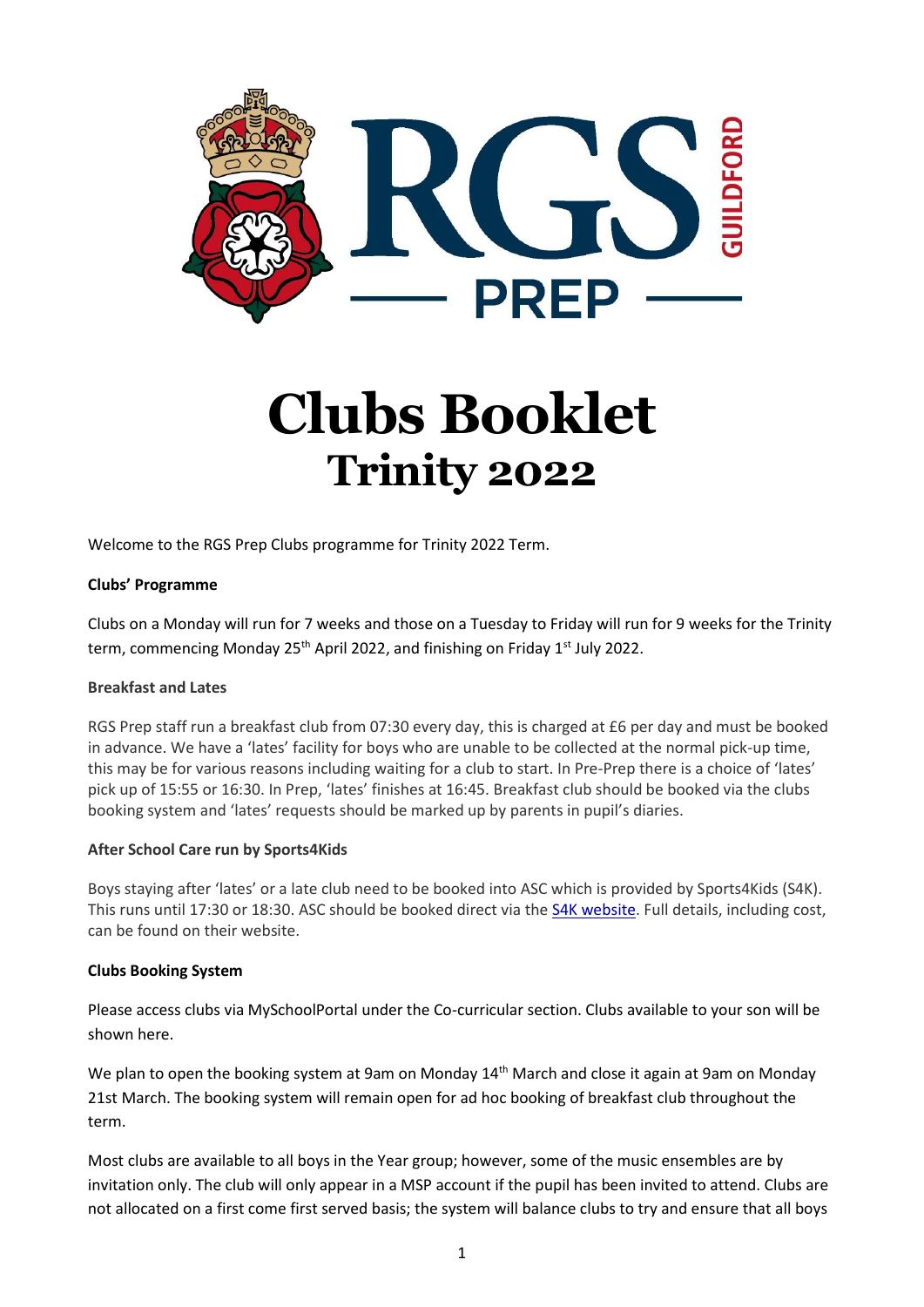

# **Clubs Booklet Trinity 2022**

Welcome to the RGS Prep Clubs programme for Trinity 2022 Term.

#### **Clubs' Programme**

Clubs on a Monday will run for 7 weeks and those on a Tuesday to Friday will run for 9 weeks for the Trinity term, commencing Monday  $25<sup>th</sup>$  April 2022, and finishing on Friday 1<sup>st</sup> July 2022.

#### **Breakfast and Lates**

RGS Prep staff run a breakfast club from 07:30 every day, this is charged at £6 per day and must be booked in advance. We have a 'lates' facility for boys who are unable to be collected at the normal pick-up time, this may be for various reasons including waiting for a club to start. In Pre-Prep there is a choice of 'lates' pick up of 15:55 or 16:30. In Prep, 'lates' finishes at 16:45. Breakfast club should be booked via the clubs booking system and 'lates' requests should be marked up by parents in pupil's diaries.

#### **After School Care run by Sports4Kids**

Boys staying after 'lates' or a late club need to be booked into ASC which is provided by Sports4Kids (S4K). This runs until 17:30 or 18:30. ASC should be booked direct via the [S4K website.](https://sport4kids.biz/book-a-club-school/) Full details, including cost, can be found on their website.

#### **Clubs Booking System**

Please access clubs via MySchoolPortal under the Co-curricular section. Clubs available to your son will be shown here.

We plan to open the booking system at 9am on Monday 14<sup>th</sup> March and close it again at 9am on Monday 21st March. The booking system will remain open for ad hoc booking of breakfast club throughout the term.

Most clubs are available to all boys in the Year group; however, some of the music ensembles are by invitation only. The club will only appear in a MSP account if the pupil has been invited to attend. Clubs are not allocated on a first come first served basis; the system will balance clubs to try and ensure that all boys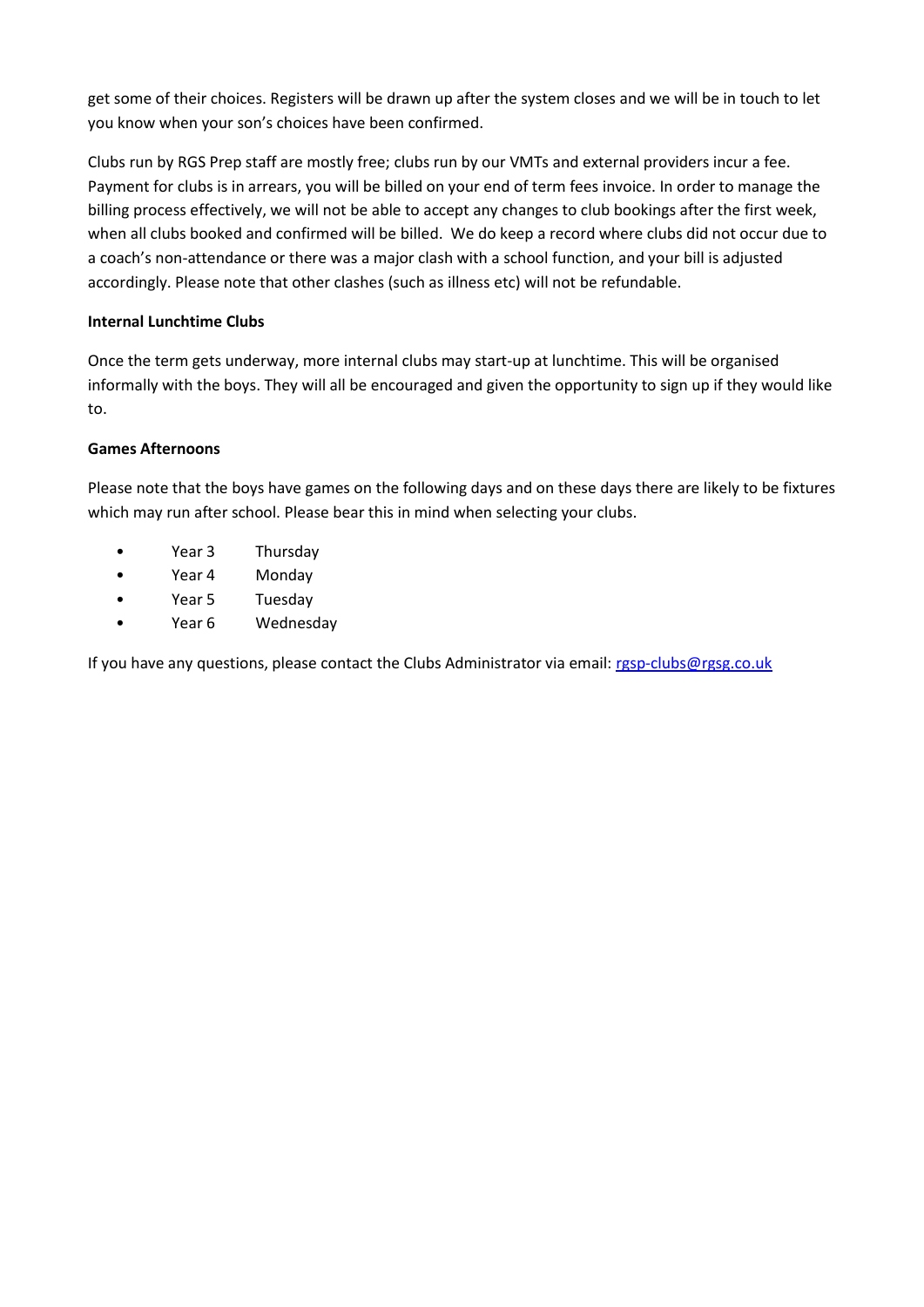get some of their choices. Registers will be drawn up after the system closes and we will be in touch to let you know when your son's choices have been confirmed.

Clubs run by RGS Prep staff are mostly free; clubs run by our VMTs and external providers incur a fee. Payment for clubs is in arrears, you will be billed on your end of term fees invoice. In order to manage the billing process effectively, we will not be able to accept any changes to club bookings after the first week, when all clubs booked and confirmed will be billed. We do keep a record where clubs did not occur due to a coach's non-attendance or there was a major clash with a school function, and your bill is adjusted accordingly. Please note that other clashes (such as illness etc) will not be refundable.

#### **Internal Lunchtime Clubs**

Once the term gets underway, more internal clubs may start-up at lunchtime. This will be organised informally with the boys. They will all be encouraged and given the opportunity to sign up if they would like to.

#### **Games Afternoons**

Please note that the boys have games on the following days and on these days there are likely to be fixtures which may run after school. Please bear this in mind when selecting your clubs.

- Year 3 Thursday
- Year 4 Monday
- Year 5 Tuesday
- Year 6 Wednesday

If you have any questions, please contact the Clubs Administrator via email: [rgsp-clubs@rgsg.co.uk](mailto:rgsp-clubs@rgsg.co.uk)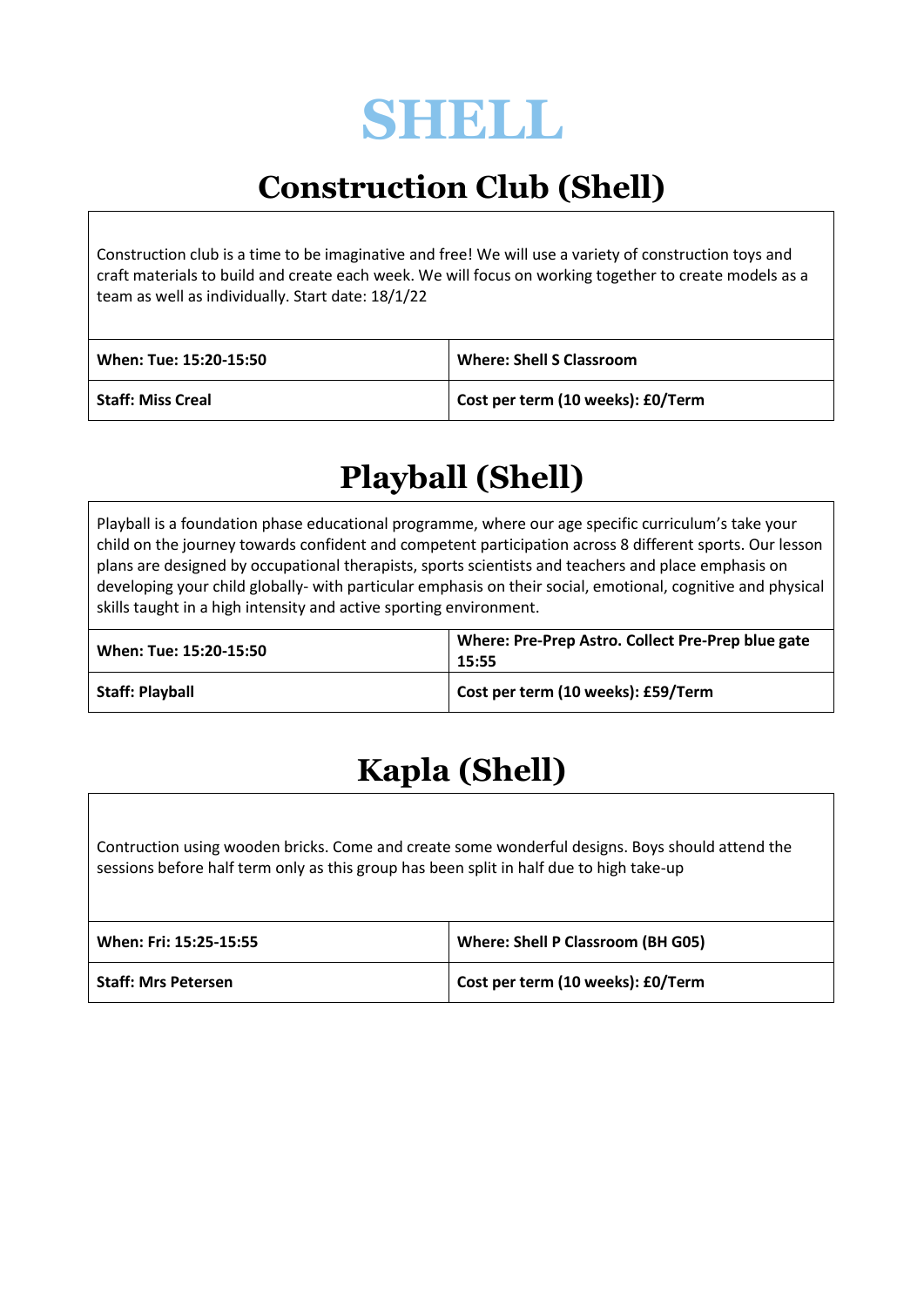

## **Construction Club (Shell)**

Construction club is a time to be imaginative and free! We will use a variety of construction toys and craft materials to build and create each week. We will focus on working together to create models as a team as well as individually. Start date: 18/1/22

| When: Tue: 15:20-15:50   | <b>Where: Shell S Classroom</b>   |
|--------------------------|-----------------------------------|
| <b>Staff: Miss Creal</b> | Cost per term (10 weeks): £0/Term |

## **Playball (Shell)**

Playball is a foundation phase educational programme, where our age specific curriculum's take your child on the journey towards confident and competent participation across 8 different sports. Our lesson plans are designed by occupational therapists, sports scientists and teachers and place emphasis on developing your child globally- with particular emphasis on their social, emotional, cognitive and physical skills taught in a high intensity and active sporting environment.

| When: Tue: 15:20-15:50 | Where: Pre-Prep Astro. Collect Pre-Prep blue gate<br>15:55 |
|------------------------|------------------------------------------------------------|
| <b>Staff: Playball</b> | Cost per term (10 weeks): £59/Term                         |

## **Kapla (Shell)**

Contruction using wooden bricks. Come and create some wonderful designs. Boys should attend the sessions before half term only as this group has been split in half due to high take-up

| When: Fri: 15:25-15:55     | <b>Where: Shell P Classroom (BH G05)</b> |
|----------------------------|------------------------------------------|
| <b>Staff: Mrs Petersen</b> | Cost per term (10 weeks): £0/Term        |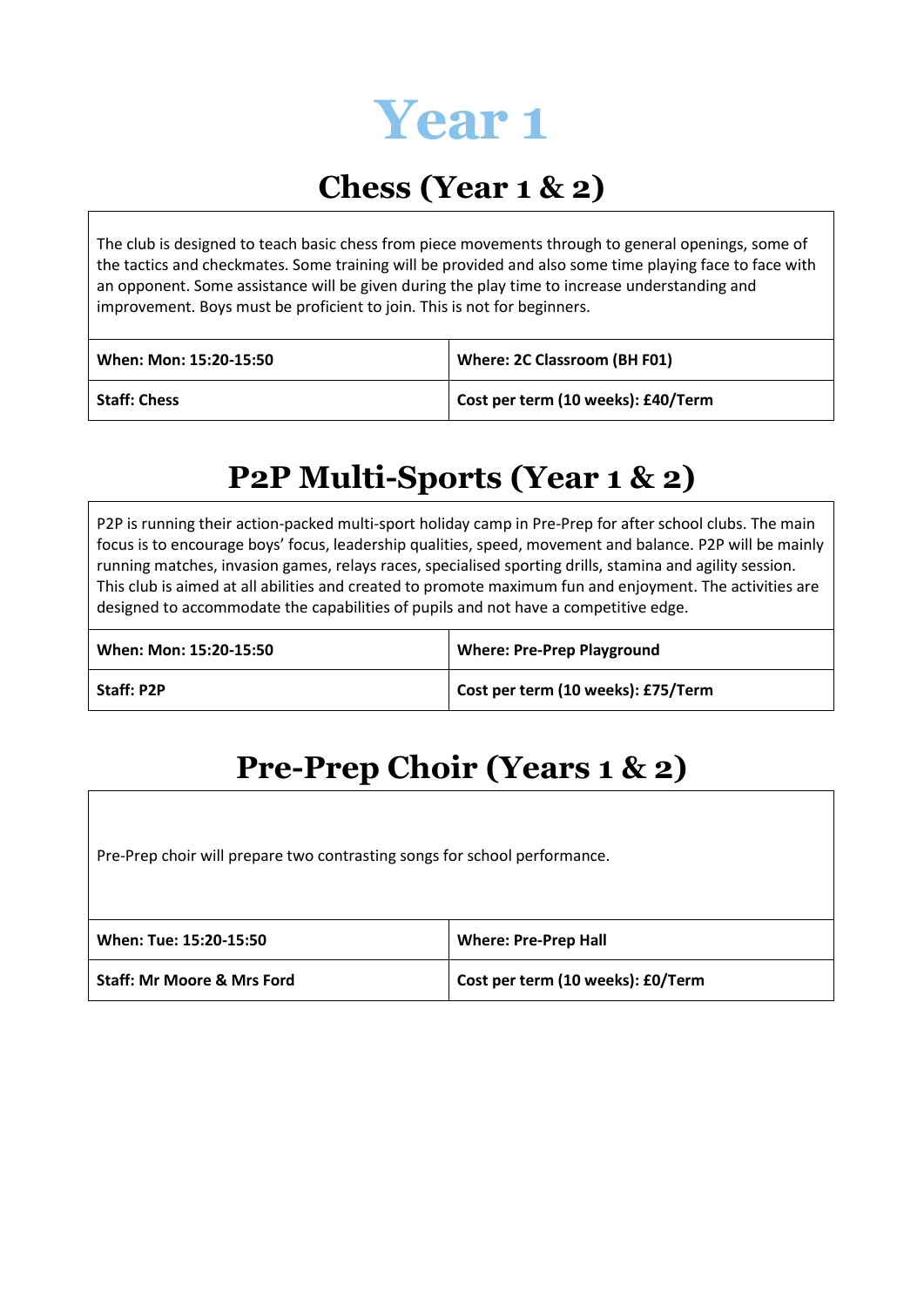

#### **Chess (Year 1 & 2)**

The club is designed to teach basic chess from piece movements through to general openings, some of the tactics and checkmates. Some training will be provided and also some time playing face to face with an opponent. Some assistance will be given during the play time to increase understanding and improvement. Boys must be proficient to join. This is not for beginners.

| When: Mon: 15:20-15:50 | Where: 2C Classroom (BH F01)       |
|------------------------|------------------------------------|
| <b>Staff: Chess</b>    | Cost per term (10 weeks): £40/Term |

#### **P2P Multi-Sports (Year 1 & 2)**

P2P is running their action-packed multi-sport holiday camp in Pre-Prep for after school clubs. The main focus is to encourage boys' focus, leadership qualities, speed, movement and balance. P2P will be mainly running matches, invasion games, relays races, specialised sporting drills, stamina and agility session. This club is aimed at all abilities and created to promote maximum fun and enjoyment. The activities are designed to accommodate the capabilities of pupils and not have a competitive edge.

| When: Mon: 15:20-15:50 | <b>Where: Pre-Prep Playground</b>  |
|------------------------|------------------------------------|
| <b>Staff: P2P</b>      | Cost per term (10 weeks): £75/Term |

#### **Pre-Prep Choir (Years 1 & 2)**

Pre-Prep choir will prepare two contrasting songs for school performance.

| When: Tue: 15:20-15:50                | <b>Where: Pre-Prep Hall</b>       |
|---------------------------------------|-----------------------------------|
| <b>Staff: Mr Moore &amp; Mrs Ford</b> | Cost per term (10 weeks): £0/Term |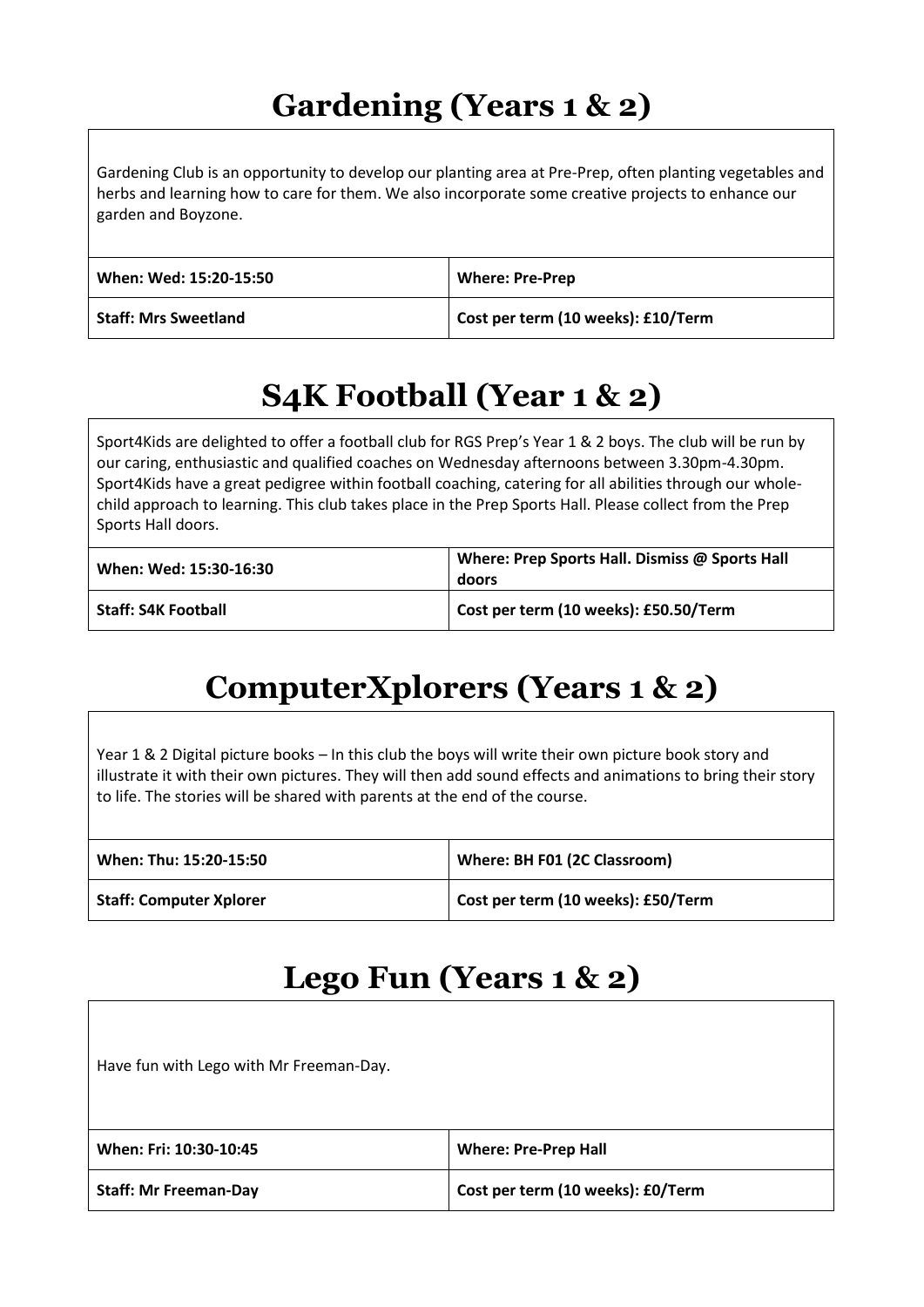## **Gardening (Years 1 & 2)**

Gardening Club is an opportunity to develop our planting area at Pre-Prep, often planting vegetables and herbs and learning how to care for them. We also incorporate some creative projects to enhance our garden and Boyzone.

| When: Wed: 15:20-15:50      | <b>Where: Pre-Prep</b>             |
|-----------------------------|------------------------------------|
| <b>Staff: Mrs Sweetland</b> | Cost per term (10 weeks): £10/Term |

## **S4K Football (Year 1 & 2)**

Sport4Kids are delighted to offer a football club for RGS Prep's Year 1 & 2 boys. The club will be run by our caring, enthusiastic and qualified coaches on Wednesday afternoons between 3.30pm-4.30pm. Sport4Kids have a great pedigree within football coaching, catering for all abilities through our wholechild approach to learning. This club takes place in the Prep Sports Hall. Please collect from the Prep Sports Hall doors.

| When: Wed: 15:30-16:30     | Where: Prep Sports Hall. Dismiss @ Sports Hall<br>doors |
|----------------------------|---------------------------------------------------------|
| <b>Staff: S4K Football</b> | Cost per term (10 weeks): £50.50/Term                   |

## **ComputerXplorers (Years 1 & 2)**

Year 1 & 2 Digital picture books – In this club the boys will write their own picture book story and illustrate it with their own pictures. They will then add sound effects and animations to bring their story to life. The stories will be shared with parents at the end of the course.

| When: Thu: 15:20-15:50         | Where: BH F01 (2C Classroom)       |
|--------------------------------|------------------------------------|
| <b>Staff: Computer Xplorer</b> | Cost per term (10 weeks): £50/Term |

#### **Lego Fun (Years 1 & 2)**

Have fun with Lego with Mr Freeman-Day.

| When: Fri: 10:30-10:45       | <b>Where: Pre-Prep Hall</b>       |
|------------------------------|-----------------------------------|
| <b>Staff: Mr Freeman-Day</b> | Cost per term (10 weeks): £0/Term |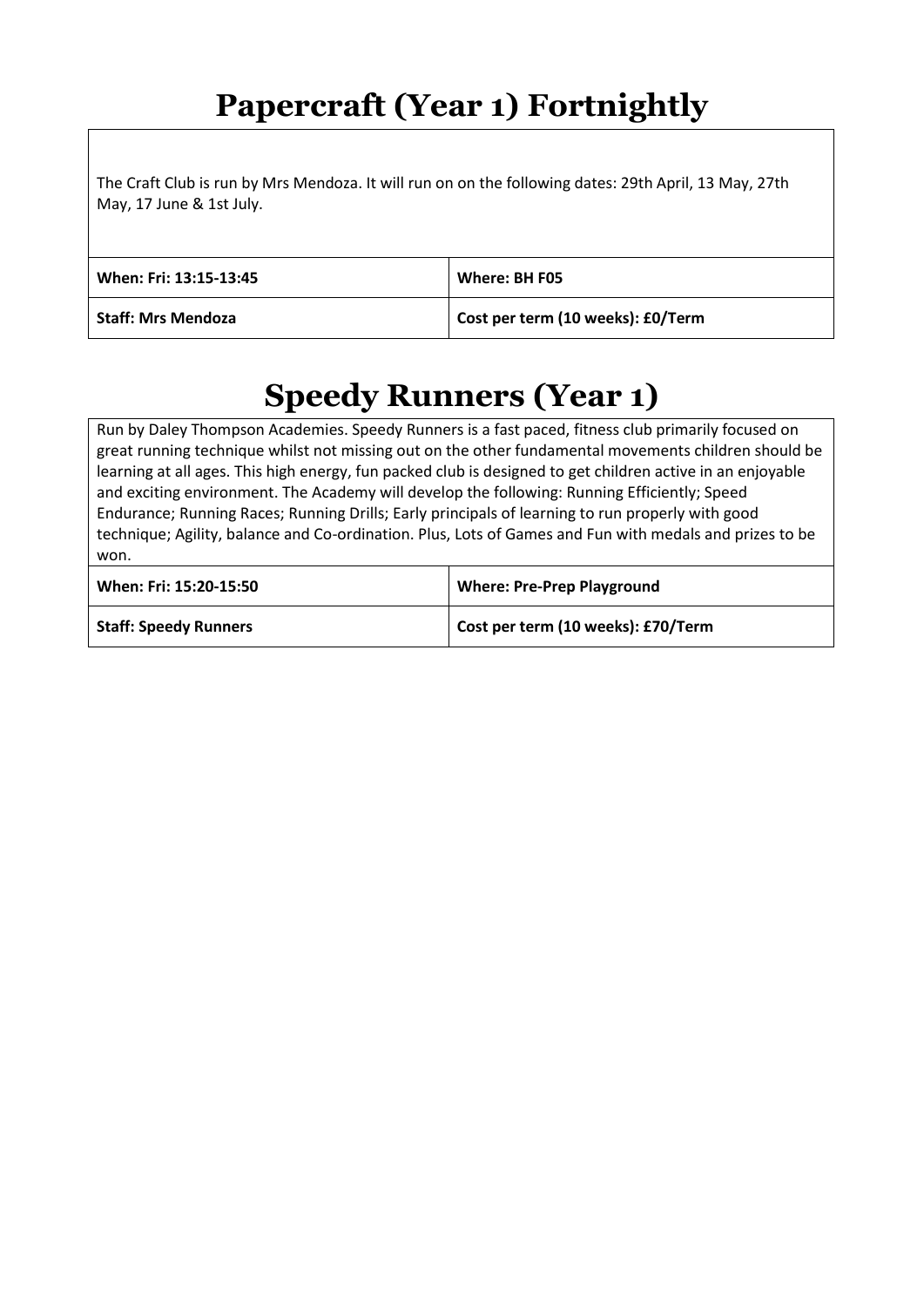#### **Papercraft (Year 1) Fortnightly**

The Craft Club is run by Mrs Mendoza. It will run on on the following dates: 29th April, 13 May, 27th May, 17 June & 1st July.

| When: Fri: 13:15-13:45    | Where: BH F05                     |
|---------------------------|-----------------------------------|
| <b>Staff: Mrs Mendoza</b> | Cost per term (10 weeks): £0/Term |

#### **Speedy Runners (Year 1)**

Run by Daley Thompson Academies. Speedy Runners is a fast paced, fitness club primarily focused on great running technique whilst not missing out on the other fundamental movements children should be learning at all ages. This high energy, fun packed club is designed to get children active in an enjoyable and exciting environment. The Academy will develop the following: Running Efficiently; Speed Endurance; Running Races; Running Drills; Early principals of learning to run properly with good technique; Agility, balance and Co-ordination. Plus, Lots of Games and Fun with medals and prizes to be won.

| When: Fri: 15:20-15:50       | <b>Where: Pre-Prep Playground</b>  |
|------------------------------|------------------------------------|
| <b>Staff: Speedy Runners</b> | Cost per term (10 weeks): £70/Term |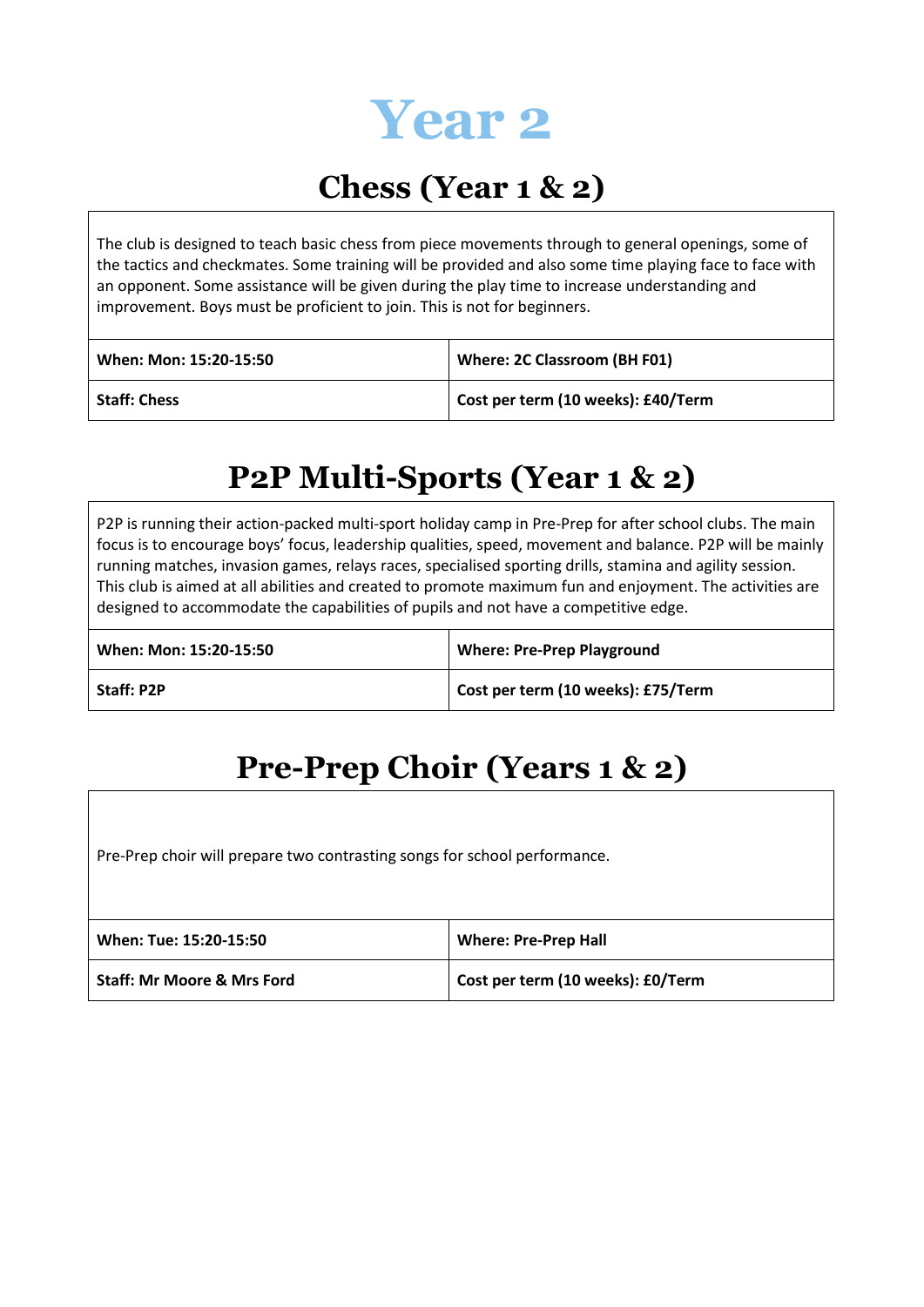

#### **Chess (Year 1 & 2)**

The club is designed to teach basic chess from piece movements through to general openings, some of the tactics and checkmates. Some training will be provided and also some time playing face to face with an opponent. Some assistance will be given during the play time to increase understanding and improvement. Boys must be proficient to join. This is not for beginners.

| When: Mon: 15:20-15:50 | Where: 2C Classroom (BH F01)       |
|------------------------|------------------------------------|
| <b>Staff: Chess</b>    | Cost per term (10 weeks): £40/Term |

#### **P2P Multi-Sports (Year 1 & 2)**

P2P is running their action-packed multi-sport holiday camp in Pre-Prep for after school clubs. The main focus is to encourage boys' focus, leadership qualities, speed, movement and balance. P2P will be mainly running matches, invasion games, relays races, specialised sporting drills, stamina and agility session. This club is aimed at all abilities and created to promote maximum fun and enjoyment. The activities are designed to accommodate the capabilities of pupils and not have a competitive edge.

| When: Mon: 15:20-15:50 | <b>Where: Pre-Prep Playground</b>  |
|------------------------|------------------------------------|
| <b>Staff: P2P</b>      | Cost per term (10 weeks): £75/Term |

#### **Pre-Prep Choir (Years 1 & 2)**

Pre-Prep choir will prepare two contrasting songs for school performance.

| When: Tue: 15:20-15:50                | <b>Where: Pre-Prep Hall</b>       |
|---------------------------------------|-----------------------------------|
| <b>Staff: Mr Moore &amp; Mrs Ford</b> | Cost per term (10 weeks): £0/Term |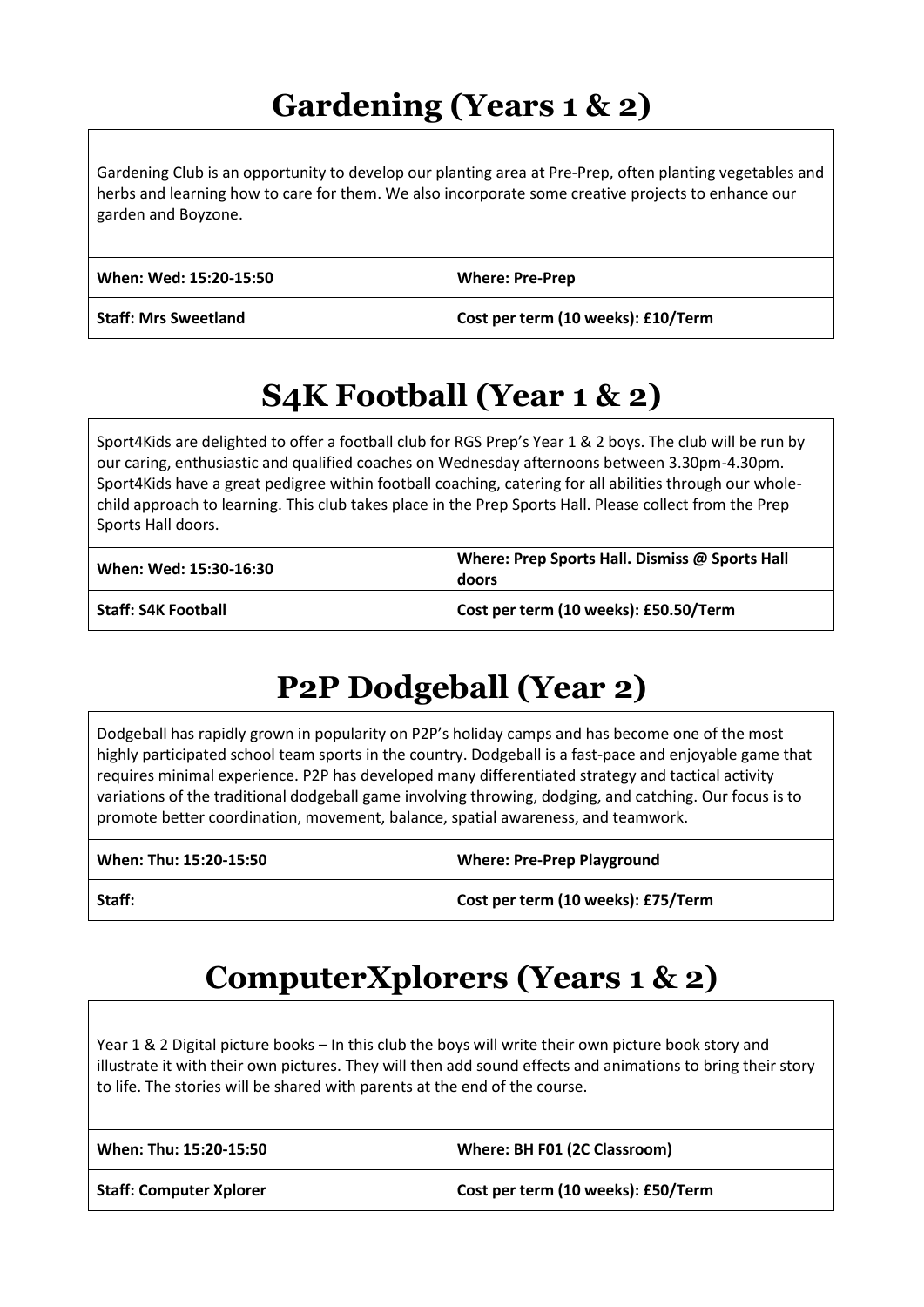## **Gardening (Years 1 & 2)**

Gardening Club is an opportunity to develop our planting area at Pre-Prep, often planting vegetables and herbs and learning how to care for them. We also incorporate some creative projects to enhance our garden and Boyzone.

| When: Wed: 15:20-15:50      | <b>Where: Pre-Prep</b>             |
|-----------------------------|------------------------------------|
| <b>Staff: Mrs Sweetland</b> | Cost per term (10 weeks): £10/Term |

## **S4K Football (Year 1 & 2)**

Sport4Kids are delighted to offer a football club for RGS Prep's Year 1 & 2 boys. The club will be run by our caring, enthusiastic and qualified coaches on Wednesday afternoons between 3.30pm-4.30pm. Sport4Kids have a great pedigree within football coaching, catering for all abilities through our wholechild approach to learning. This club takes place in the Prep Sports Hall. Please collect from the Prep Sports Hall doors.

| When: Wed: 15:30-16:30     | Where: Prep Sports Hall. Dismiss @ Sports Hall<br>doors |
|----------------------------|---------------------------------------------------------|
| <b>Staff: S4K Football</b> | Cost per term (10 weeks): £50.50/Term                   |

## **P2P Dodgeball (Year 2)**

Dodgeball has rapidly grown in popularity on P2P's holiday camps and has become one of the most highly participated school team sports in the country. Dodgeball is a fast-pace and enjoyable game that requires minimal experience. P2P has developed many differentiated strategy and tactical activity variations of the traditional dodgeball game involving throwing, dodging, and catching. Our focus is to promote better coordination, movement, balance, spatial awareness, and teamwork.

| When: Thu: 15:20-15:50 | <b>Where: Pre-Prep Playground</b>  |
|------------------------|------------------------------------|
| Staff:                 | Cost per term (10 weeks): £75/Term |

#### **ComputerXplorers (Years 1 & 2)**

Year 1 & 2 Digital picture books – In this club the boys will write their own picture book story and illustrate it with their own pictures. They will then add sound effects and animations to bring their story to life. The stories will be shared with parents at the end of the course.

| When: Thu: 15:20-15:50         | Where: BH F01 (2C Classroom)       |
|--------------------------------|------------------------------------|
| <b>Staff: Computer Xplorer</b> | Cost per term (10 weeks): £50/Term |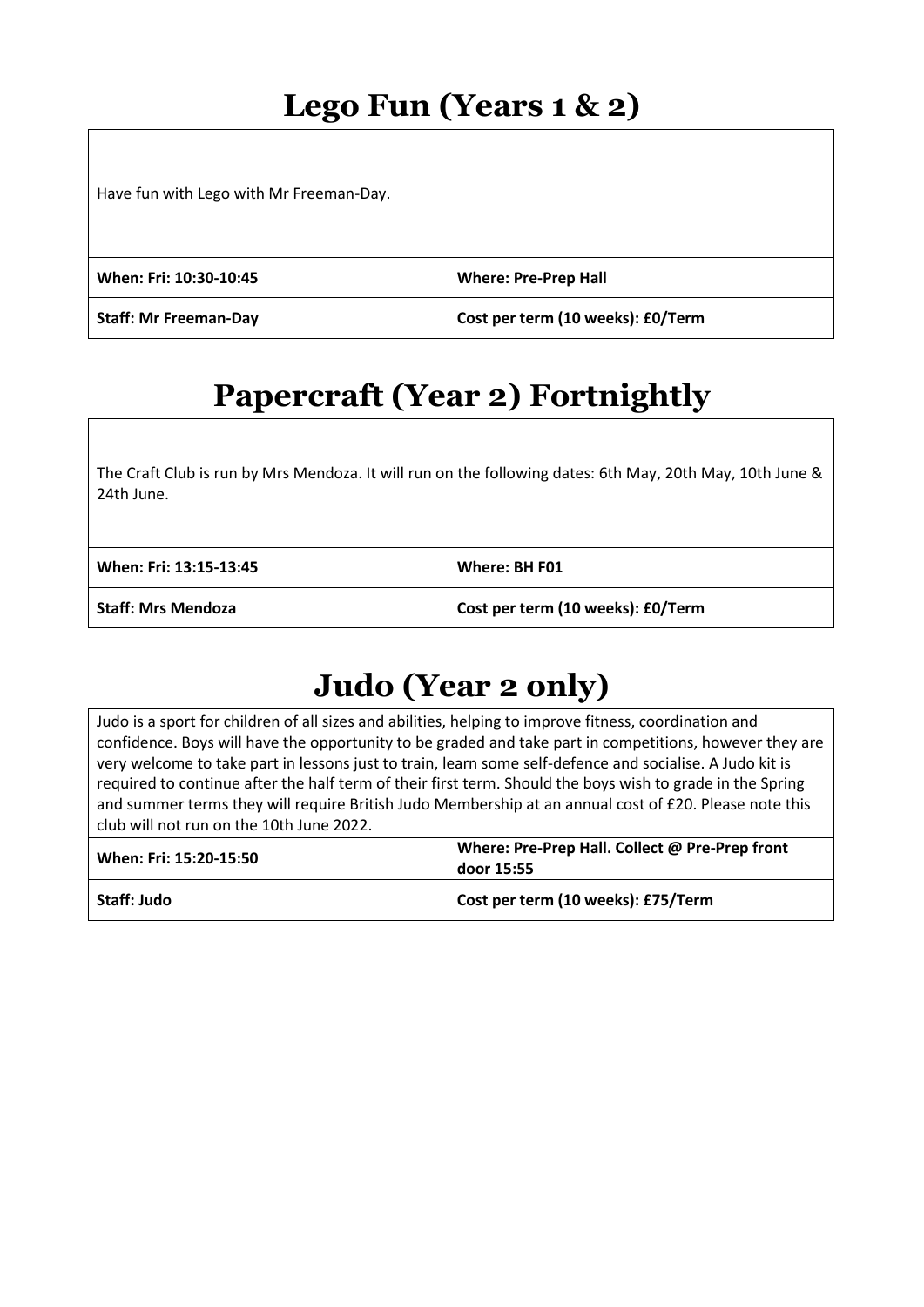### **Lego Fun (Years 1 & 2)**

Have fun with Lego with Mr Freeman-Day.

| When: Fri: 10:30-10:45       | <b>Where: Pre-Prep Hall</b>       |
|------------------------------|-----------------------------------|
| <b>Staff: Mr Freeman-Day</b> | Cost per term (10 weeks): £0/Term |

## **Papercraft (Year 2) Fortnightly**

The Craft Club is run by Mrs Mendoza. It will run on the following dates: 6th May, 20th May, 10th June & 24th June.

| When: Fri: 13:15-13:45    | Where: BH F01                     |
|---------------------------|-----------------------------------|
| <b>Staff: Mrs Mendoza</b> | Cost per term (10 weeks): £0/Term |

## **Judo (Year 2 only)**

Judo is a sport for children of all sizes and abilities, helping to improve fitness, coordination and confidence. Boys will have the opportunity to be graded and take part in competitions, however they are very welcome to take part in lessons just to train, learn some self-defence and socialise. A Judo kit is required to continue after the half term of their first term. Should the boys wish to grade in the Spring and summer terms they will require British Judo Membership at an annual cost of £20. Please note this club will not run on the 10th June 2022.

| When: Fri: 15:20-15:50 | Where: Pre-Prep Hall. Collect @ Pre-Prep front<br>door 15:55 |
|------------------------|--------------------------------------------------------------|
| Staff: Judo            | Cost per term (10 weeks): £75/Term                           |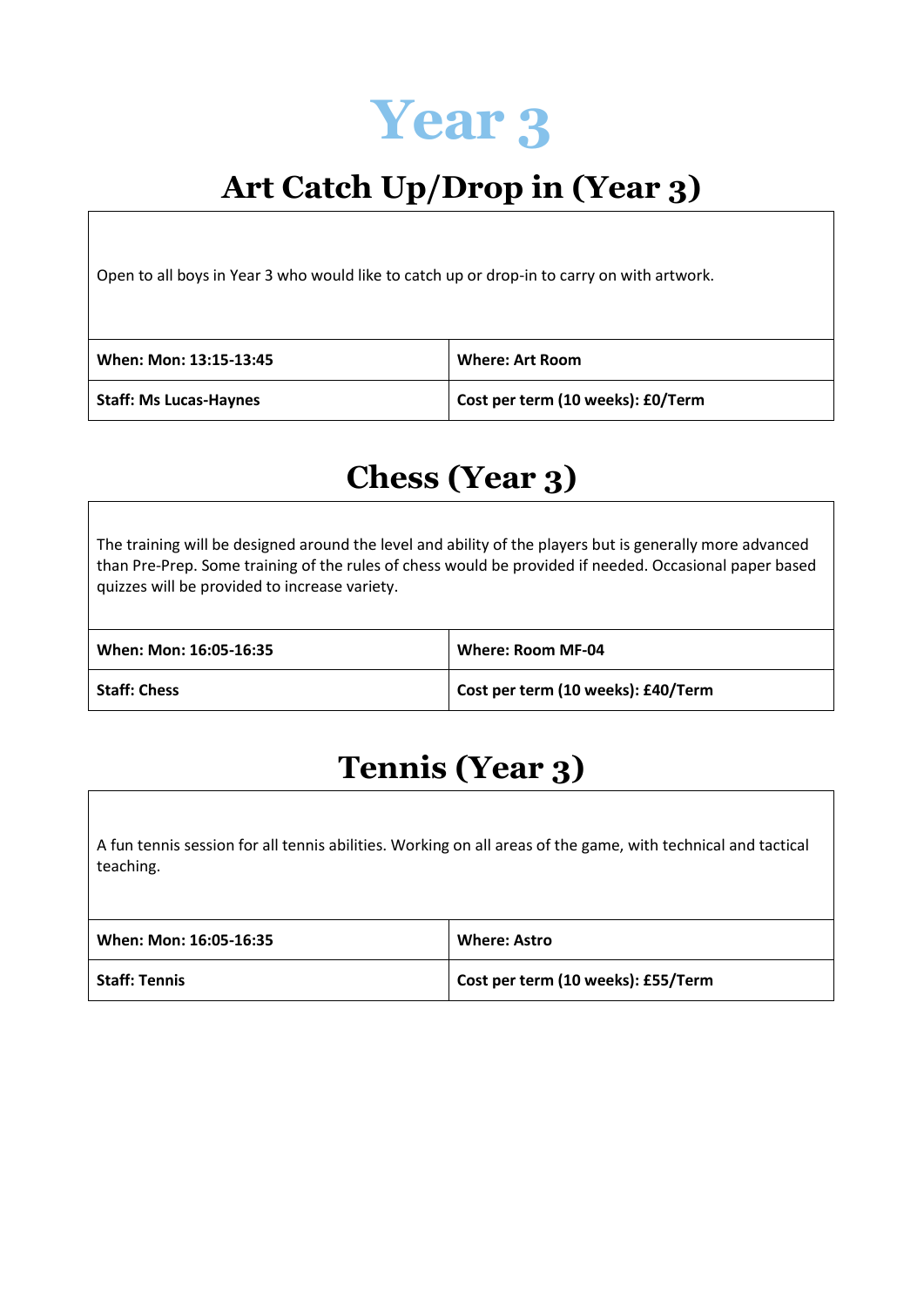

## **Art Catch Up/Drop in (Year 3)**

Open to all boys in Year 3 who would like to catch up or drop-in to carry on with artwork.

| When: Mon: 13:15-13:45        | <b>Where: Art Room</b>            |
|-------------------------------|-----------------------------------|
| <b>Staff: Ms Lucas-Haynes</b> | Cost per term (10 weeks): £0/Term |

#### **Chess (Year 3)**

The training will be designed around the level and ability of the players but is generally more advanced than Pre-Prep. Some training of the rules of chess would be provided if needed. Occasional paper based quizzes will be provided to increase variety.

| When: Mon: 16:05-16:35 | Where: Room MF-04                  |
|------------------------|------------------------------------|
| <b>Staff: Chess</b>    | Cost per term (10 weeks): £40/Term |

## **Tennis (Year 3)**

A fun tennis session for all tennis abilities. Working on all areas of the game, with technical and tactical teaching.

| When: Mon: 16:05-16:35 | <b>Where: Astro</b>                |
|------------------------|------------------------------------|
| <b>Staff: Tennis</b>   | Cost per term (10 weeks): £55/Term |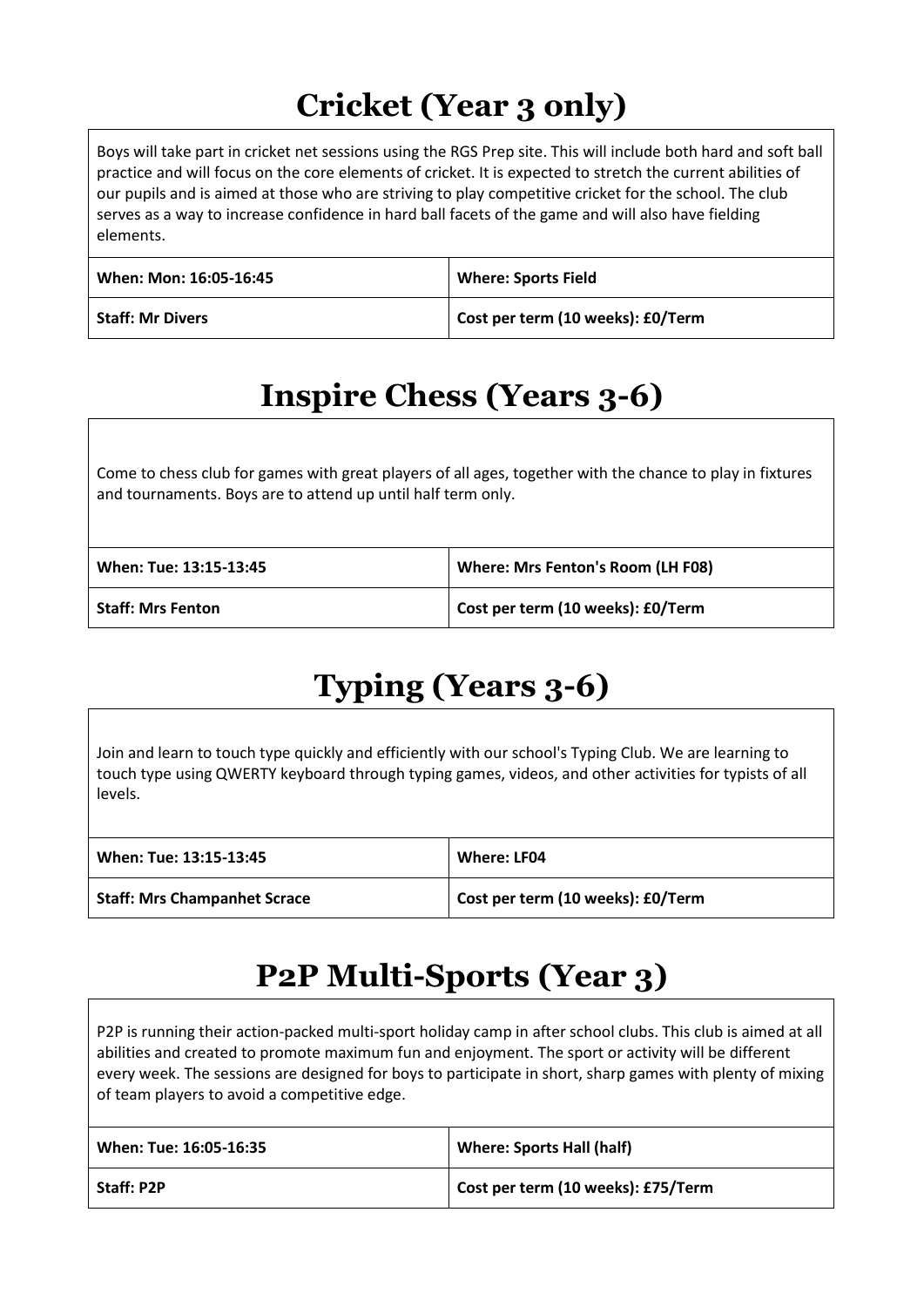## **Cricket (Year 3 only)**

Boys will take part in cricket net sessions using the RGS Prep site. This will include both hard and soft ball practice and will focus on the core elements of cricket. It is expected to stretch the current abilities of our pupils and is aimed at those who are striving to play competitive cricket for the school. The club serves as a way to increase confidence in hard ball facets of the game and will also have fielding elements.

| When: Mon: 16:05-16:45  | <b>Where: Sports Field</b>        |
|-------------------------|-----------------------------------|
| <b>Staff: Mr Divers</b> | Cost per term (10 weeks): £0/Term |

## **Inspire Chess (Years 3-6)**

Come to chess club for games with great players of all ages, together with the chance to play in fixtures and tournaments. Boys are to attend up until half term only.

| When: Tue: 13:15-13:45   | Where: Mrs Fenton's Room (LH F08) |
|--------------------------|-----------------------------------|
| <b>Staff: Mrs Fenton</b> | Cost per term (10 weeks): £0/Term |

## **Typing (Years 3-6)**

Join and learn to touch type quickly and efficiently with our school's Typing Club. We are learning to touch type using QWERTY keyboard through typing games, videos, and other activities for typists of all levels.

| When: Tue: 13:15-13:45              | Where: LF04                       |
|-------------------------------------|-----------------------------------|
| <b>Staff: Mrs Champanhet Scrace</b> | Cost per term (10 weeks): £0/Term |

#### **P2P Multi-Sports (Year 3)**

P2P is running their action-packed multi-sport holiday camp in after school clubs. This club is aimed at all abilities and created to promote maximum fun and enjoyment. The sport or activity will be different every week. The sessions are designed for boys to participate in short, sharp games with plenty of mixing of team players to avoid a competitive edge.

| When: Tue: 16:05-16:35 | <b>Where: Sports Hall (half)</b>   |
|------------------------|------------------------------------|
| Staff: P2P             | Cost per term (10 weeks): £75/Term |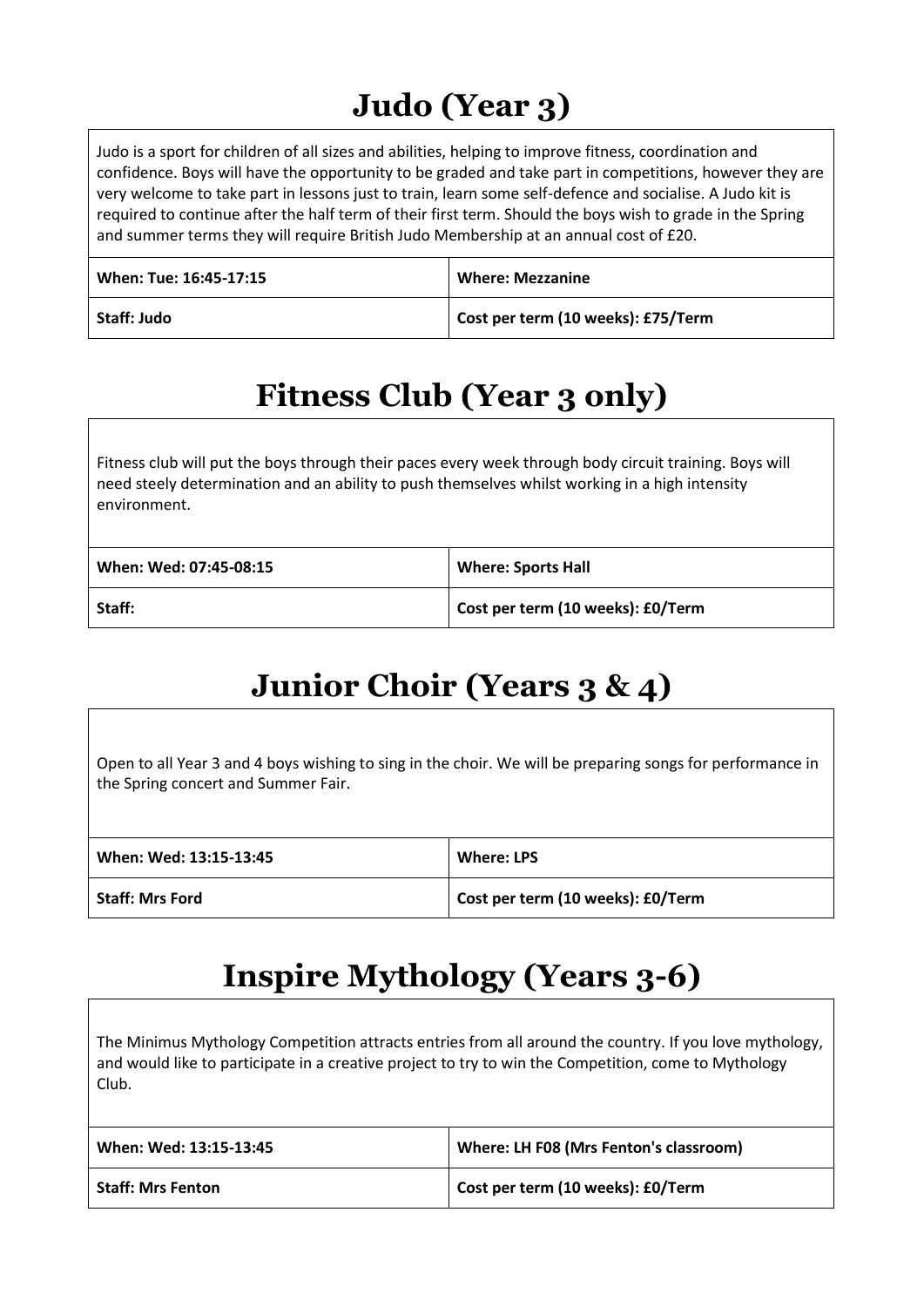## **Judo (Year 3)**

Judo is a sport for children of all sizes and abilities, helping to improve fitness, coordination and confidence. Boys will have the opportunity to be graded and take part in competitions, however they are very welcome to take part in lessons just to train, learn some self-defence and socialise. A Judo kit is required to continue after the half term of their first term. Should the boys wish to grade in the Spring and summer terms they will require British Judo Membership at an annual cost of £20.

| When: Tue: 16:45-17:15 | <b>Where: Mezzanine</b>            |
|------------------------|------------------------------------|
| Staff: Judo            | Cost per term (10 weeks): £75/Term |

## **Fitness Club (Year 3 only)**

Fitness club will put the boys through their paces every week through body circuit training. Boys will need steely determination and an ability to push themselves whilst working in a high intensity environment.

| When: Wed: 07:45-08:15 | <b>Where: Sports Hall</b>         |
|------------------------|-----------------------------------|
| Staff:                 | Cost per term (10 weeks): £0/Term |

## **Junior Choir (Years 3 & 4)**

Open to all Year 3 and 4 boys wishing to sing in the choir. We will be preparing songs for performance in the Spring concert and Summer Fair.

| When: Wed: 13:15-13:45 | <b>Where: LPS</b>                 |
|------------------------|-----------------------------------|
| <b>Staff: Mrs Ford</b> | Cost per term (10 weeks): £0/Term |

## **Inspire Mythology (Years 3-6)**

The Minimus Mythology Competition attracts entries from all around the country. If you love mythology, and would like to participate in a creative project to try to win the Competition, come to Mythology Club.

| When: Wed: 13:15-13:45   | Where: LH F08 (Mrs Fenton's classroom) |
|--------------------------|----------------------------------------|
| <b>Staff: Mrs Fenton</b> | Cost per term (10 weeks): £0/Term      |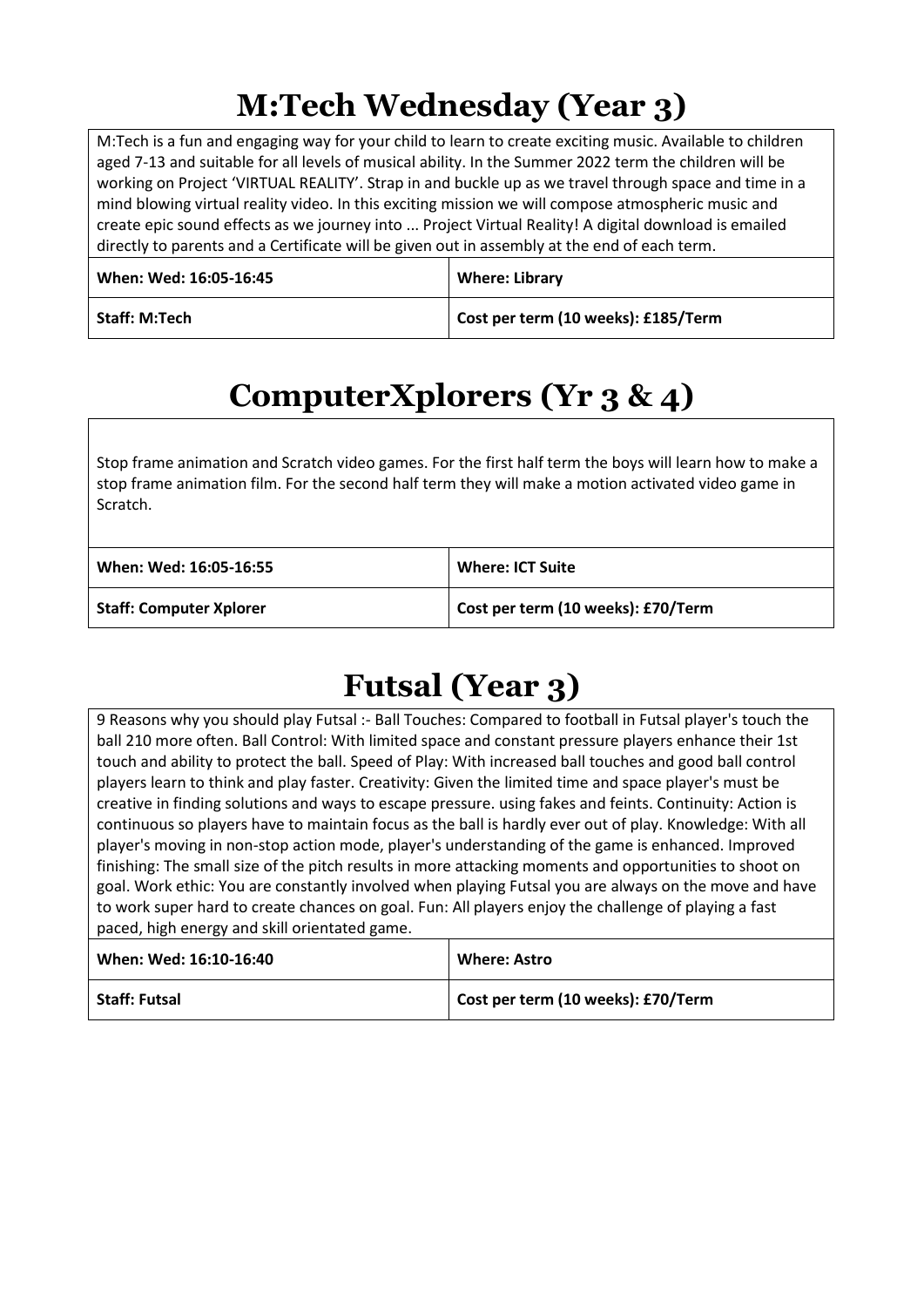## **M:Tech Wednesday (Year 3)**

M:Tech is a fun and engaging way for your child to learn to create exciting music. Available to children aged 7-13 and suitable for all levels of musical ability. In the Summer 2022 term the children will be working on Project 'VIRTUAL REALITY'. Strap in and buckle up as we travel through space and time in a mind blowing virtual reality video. In this exciting mission we will compose atmospheric music and create epic sound effects as we journey into ... Project Virtual Reality! A digital download is emailed directly to parents and a Certificate will be given out in assembly at the end of each term.

| When: Wed: 16:05-16:45 | <b>Where: Library</b>               |
|------------------------|-------------------------------------|
| <b>Staff: M:Tech</b>   | Cost per term (10 weeks): £185/Term |

## **ComputerXplorers (Yr 3 & 4)**

Stop frame animation and Scratch video games. For the first half term the boys will learn how to make a stop frame animation film. For the second half term they will make a motion activated video game in Scratch.

| When: Wed: 16:05-16:55         | <b>Where: ICT Suite</b>            |
|--------------------------------|------------------------------------|
| <b>Staff: Computer Xplorer</b> | Cost per term (10 weeks): £70/Term |

## **Futsal (Year 3)**

9 Reasons why you should play Futsal :- Ball Touches: Compared to football in Futsal player's touch the ball 210 more often. Ball Control: With limited space and constant pressure players enhance their 1st touch and ability to protect the ball. Speed of Play: With increased ball touches and good ball control players learn to think and play faster. Creativity: Given the limited time and space player's must be creative in finding solutions and ways to escape pressure. using fakes and feints. Continuity: Action is continuous so players have to maintain focus as the ball is hardly ever out of play. Knowledge: With all player's moving in non-stop action mode, player's understanding of the game is enhanced. Improved finishing: The small size of the pitch results in more attacking moments and opportunities to shoot on goal. Work ethic: You are constantly involved when playing Futsal you are always on the move and have to work super hard to create chances on goal. Fun: All players enjoy the challenge of playing a fast paced, high energy and skill orientated game.

| When: Wed: 16:10-16:40 | <b>Where: Astro</b>                |
|------------------------|------------------------------------|
| <b>Staff: Futsal</b>   | Cost per term (10 weeks): £70/Term |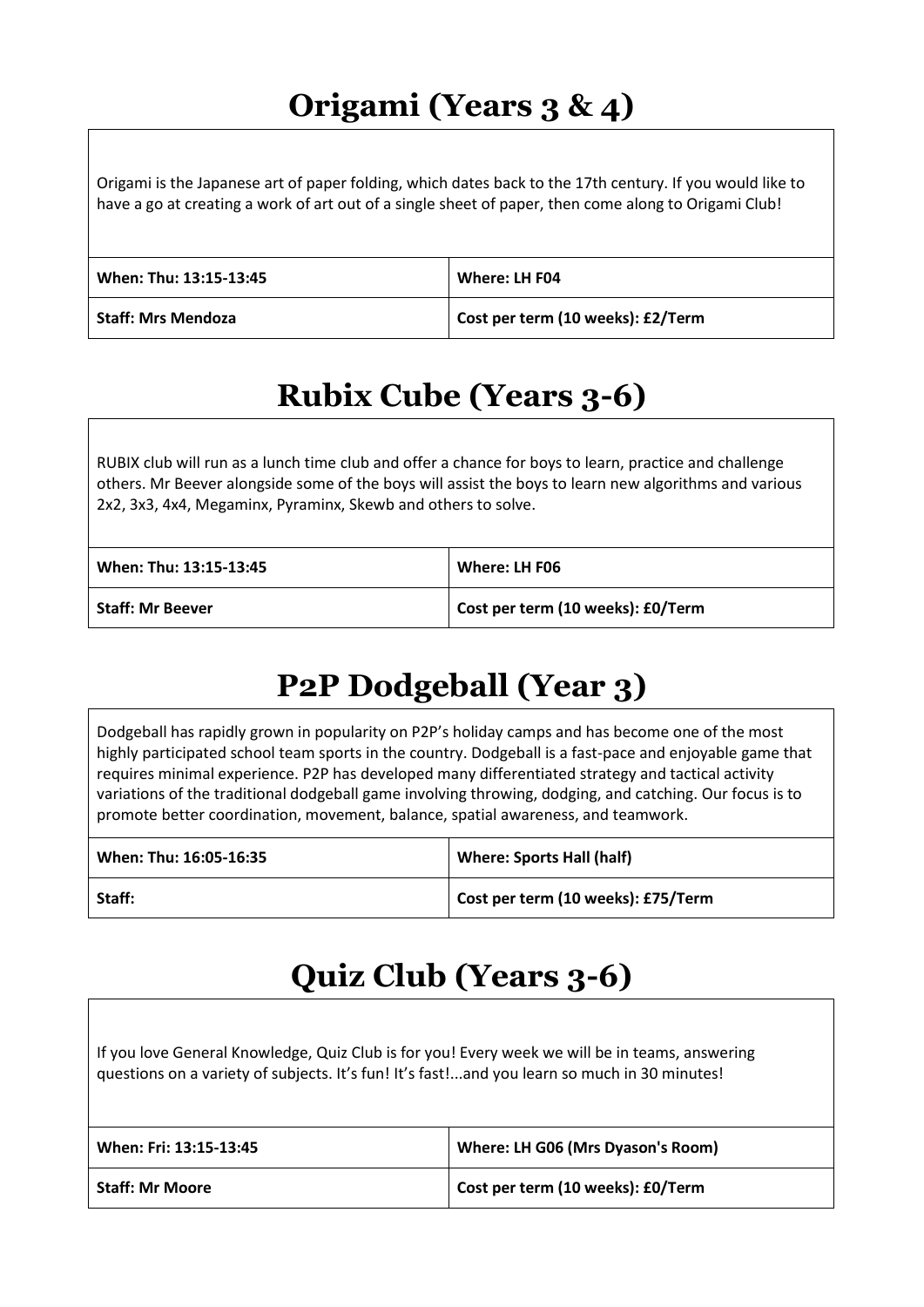## **Origami (Years 3 & 4)**

Origami is the Japanese art of paper folding, which dates back to the 17th century. If you would like to have a go at creating a work of art out of a single sheet of paper, then come along to Origami Club!

| When: Thu: 13:15-13:45 | Where: LH F04                     |
|------------------------|-----------------------------------|
| Staff: Mrs Mendoza     | Cost per term (10 weeks): £2/Term |

## **Rubix Cube (Years 3-6)**

RUBIX club will run as a lunch time club and offer a chance for boys to learn, practice and challenge others. Mr Beever alongside some of the boys will assist the boys to learn new algorithms and various 2x2, 3x3, 4x4, Megaminx, Pyraminx, Skewb and others to solve.

| When: Thu: 13:15-13:45  | Where: LH F06                     |
|-------------------------|-----------------------------------|
| <b>Staff: Mr Beever</b> | Cost per term (10 weeks): £0/Term |

## **P2P Dodgeball (Year 3)**

Dodgeball has rapidly grown in popularity on P2P's holiday camps and has become one of the most highly participated school team sports in the country. Dodgeball is a fast-pace and enjoyable game that requires minimal experience. P2P has developed many differentiated strategy and tactical activity variations of the traditional dodgeball game involving throwing, dodging, and catching. Our focus is to promote better coordination, movement, balance, spatial awareness, and teamwork.

| When: Thu: 16:05-16:35 | <b>Where: Sports Hall (half)</b>   |
|------------------------|------------------------------------|
| Staff:                 | Cost per term (10 weeks): £75/Term |

## **Quiz Club (Years 3-6)**

If you love General Knowledge, Quiz Club is for you! Every week we will be in teams, answering questions on a variety of subjects. It's fun! It's fast!...and you learn so much in 30 minutes!

| When: Fri: 13:15-13:45 | Where: LH G06 (Mrs Dyason's Room) |
|------------------------|-----------------------------------|
| <b>Staff: Mr Moore</b> | Cost per term (10 weeks): £0/Term |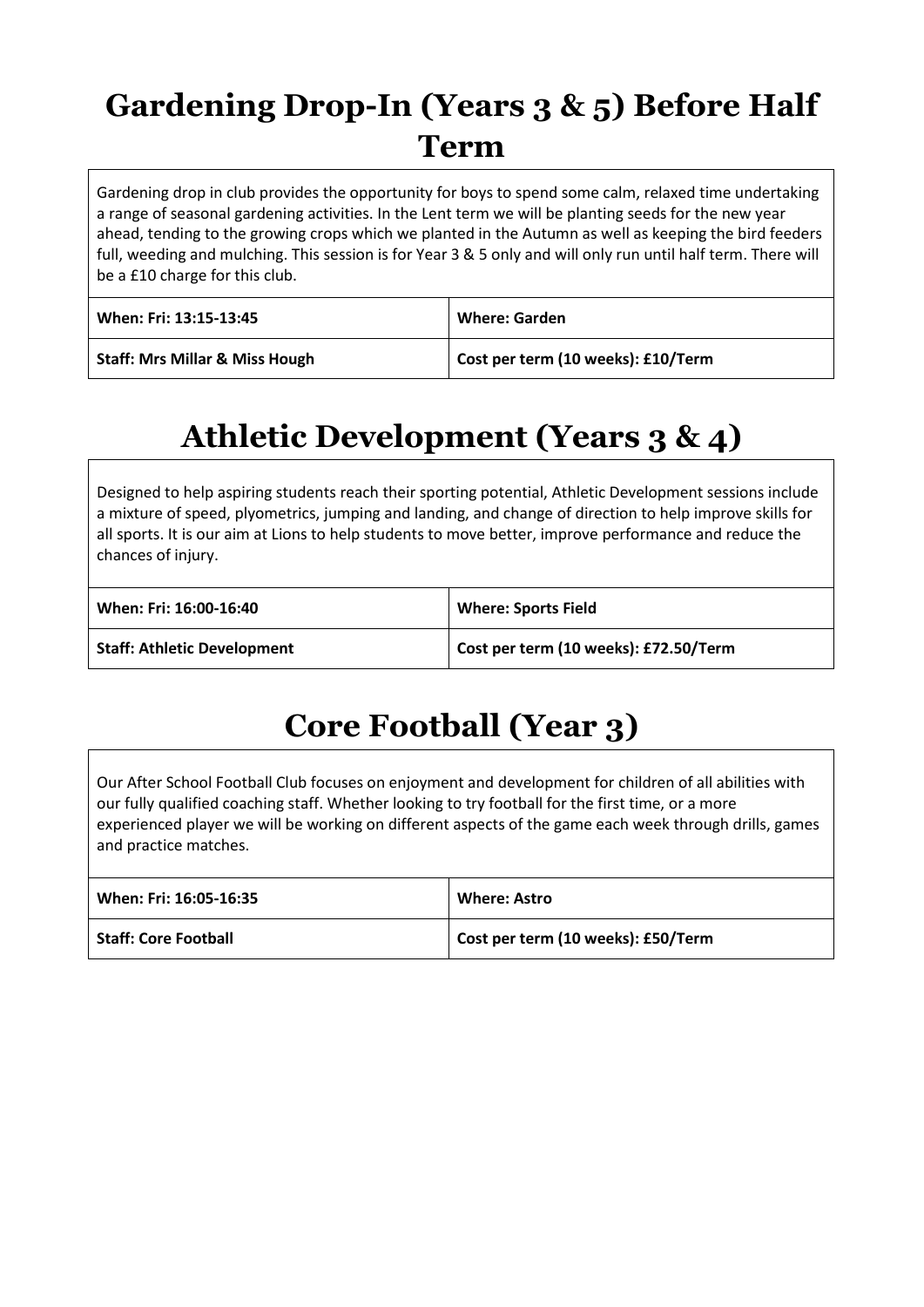## **Gardening Drop-In (Years 3 & 5) Before Half Term**

Gardening drop in club provides the opportunity for boys to spend some calm, relaxed time undertaking a range of seasonal gardening activities. In the Lent term we will be planting seeds for the new year ahead, tending to the growing crops which we planted in the Autumn as well as keeping the bird feeders full, weeding and mulching. This session is for Year 3 & 5 only and will only run until half term. There will be a £10 charge for this club.

| When: Fri: 13:15-13:45                    | <b>Where: Garden</b>               |
|-------------------------------------------|------------------------------------|
| <b>Staff: Mrs Millar &amp; Miss Hough</b> | Cost per term (10 weeks): £10/Term |

## **Athletic Development (Years 3 & 4)**

Designed to help aspiring students reach their sporting potential, Athletic Development sessions include a mixture of speed, plyometrics, jumping and landing, and change of direction to help improve skills for all sports. It is our aim at Lions to help students to move better, improve performance and reduce the chances of injury.

| When: Fri: 16:00-16:40             | <b>Where: Sports Field</b>            |
|------------------------------------|---------------------------------------|
| <b>Staff: Athletic Development</b> | Cost per term (10 weeks): £72.50/Term |

## **Core Football (Year 3)**

Our After School Football Club focuses on enjoyment and development for children of all abilities with our fully qualified coaching staff. Whether looking to try football for the first time, or a more experienced player we will be working on different aspects of the game each week through drills, games and practice matches.

| When: Fri: 16:05-16:35      | <b>Where: Astro</b>                |
|-----------------------------|------------------------------------|
| <b>Staff: Core Football</b> | Cost per term (10 weeks): £50/Term |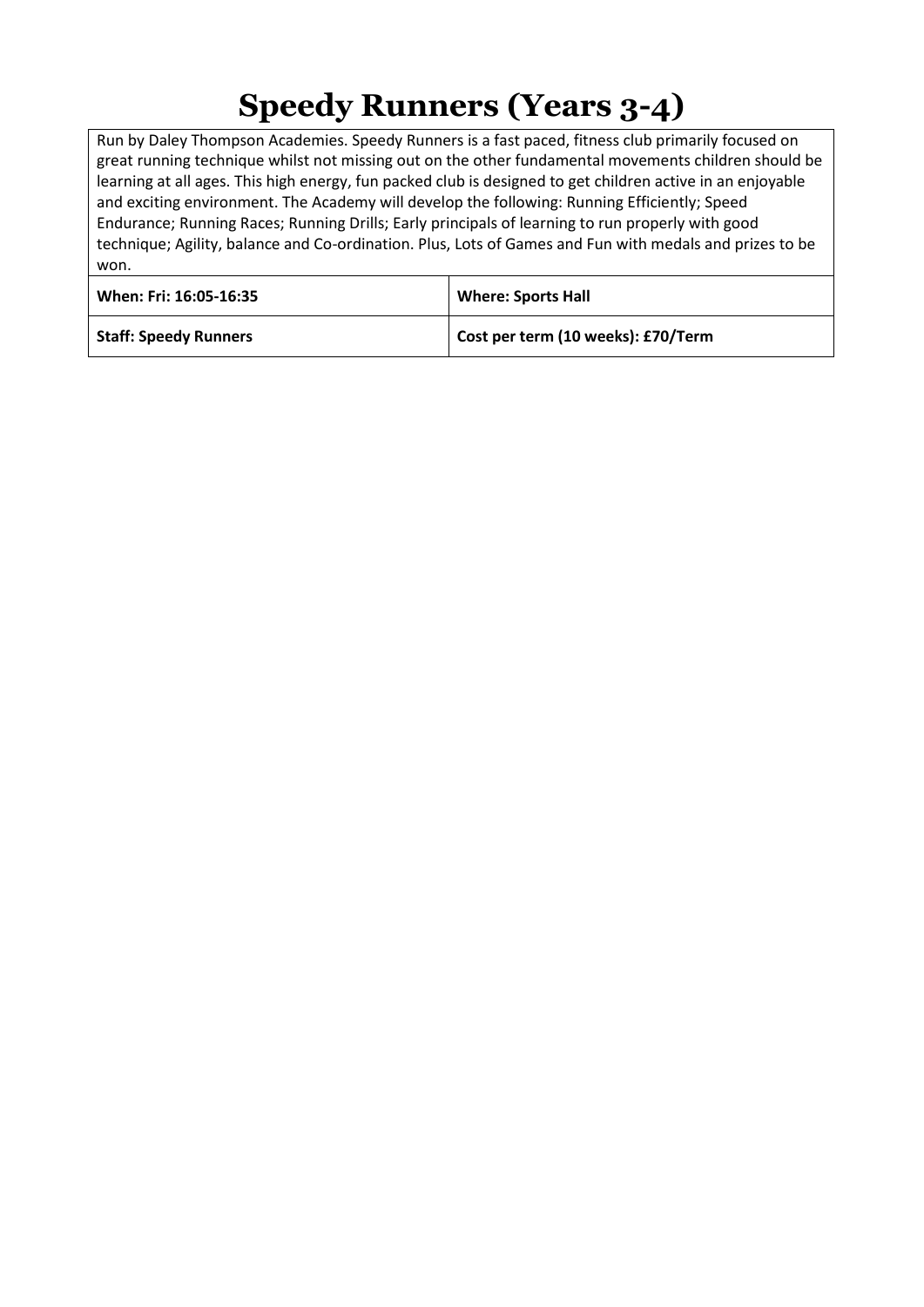## **Speedy Runners (Years 3-4)**

Run by Daley Thompson Academies. Speedy Runners is a fast paced, fitness club primarily focused on great running technique whilst not missing out on the other fundamental movements children should be learning at all ages. This high energy, fun packed club is designed to get children active in an enjoyable and exciting environment. The Academy will develop the following: Running Efficiently; Speed Endurance; Running Races; Running Drills; Early principals of learning to run properly with good technique; Agility, balance and Co-ordination. Plus, Lots of Games and Fun with medals and prizes to be won.

| When: Fri: 16:05-16:35       | <b>Where: Sports Hall</b>          |
|------------------------------|------------------------------------|
| <b>Staff: Speedy Runners</b> | Cost per term (10 weeks): £70/Term |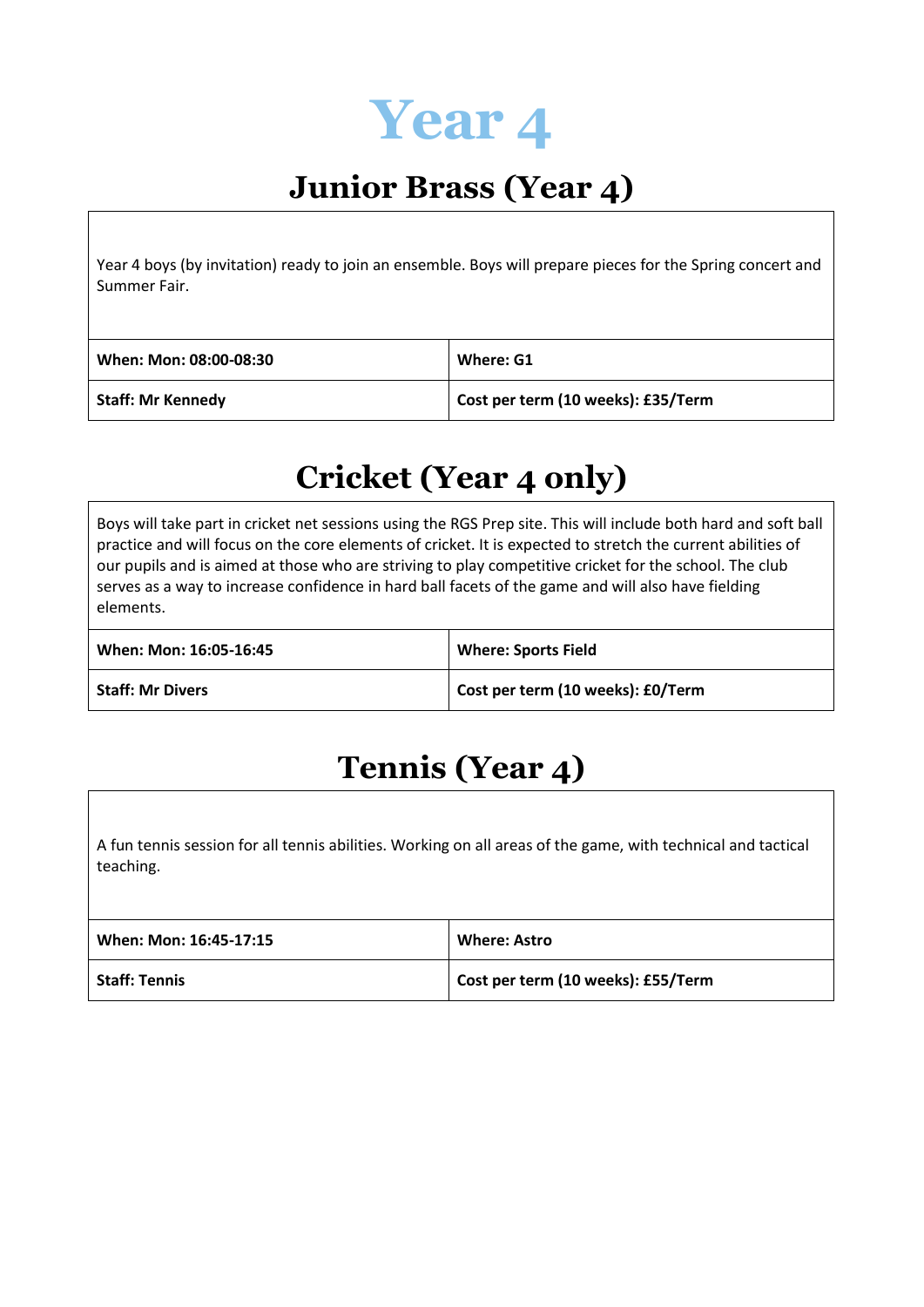

## **Junior Brass (Year 4)**

Year 4 boys (by invitation) ready to join an ensemble. Boys will prepare pieces for the Spring concert and Summer Fair.

| When: Mon: 08:00-08:30   | Where: G1                          |
|--------------------------|------------------------------------|
| <b>Staff: Mr Kennedy</b> | Cost per term (10 weeks): £35/Term |

#### **Cricket (Year 4 only)**

Boys will take part in cricket net sessions using the RGS Prep site. This will include both hard and soft ball practice and will focus on the core elements of cricket. It is expected to stretch the current abilities of our pupils and is aimed at those who are striving to play competitive cricket for the school. The club serves as a way to increase confidence in hard ball facets of the game and will also have fielding elements.

| When: Mon: 16:05-16:45  | <b>Where: Sports Field</b>        |
|-------------------------|-----------------------------------|
| <b>Staff: Mr Divers</b> | Cost per term (10 weeks): £0/Term |

## **Tennis (Year 4)**

A fun tennis session for all tennis abilities. Working on all areas of the game, with technical and tactical teaching.

| When: Mon: 16:45-17:15 | <b>Where: Astro</b>                |
|------------------------|------------------------------------|
| <b>Staff: Tennis</b>   | Cost per term (10 weeks): £55/Term |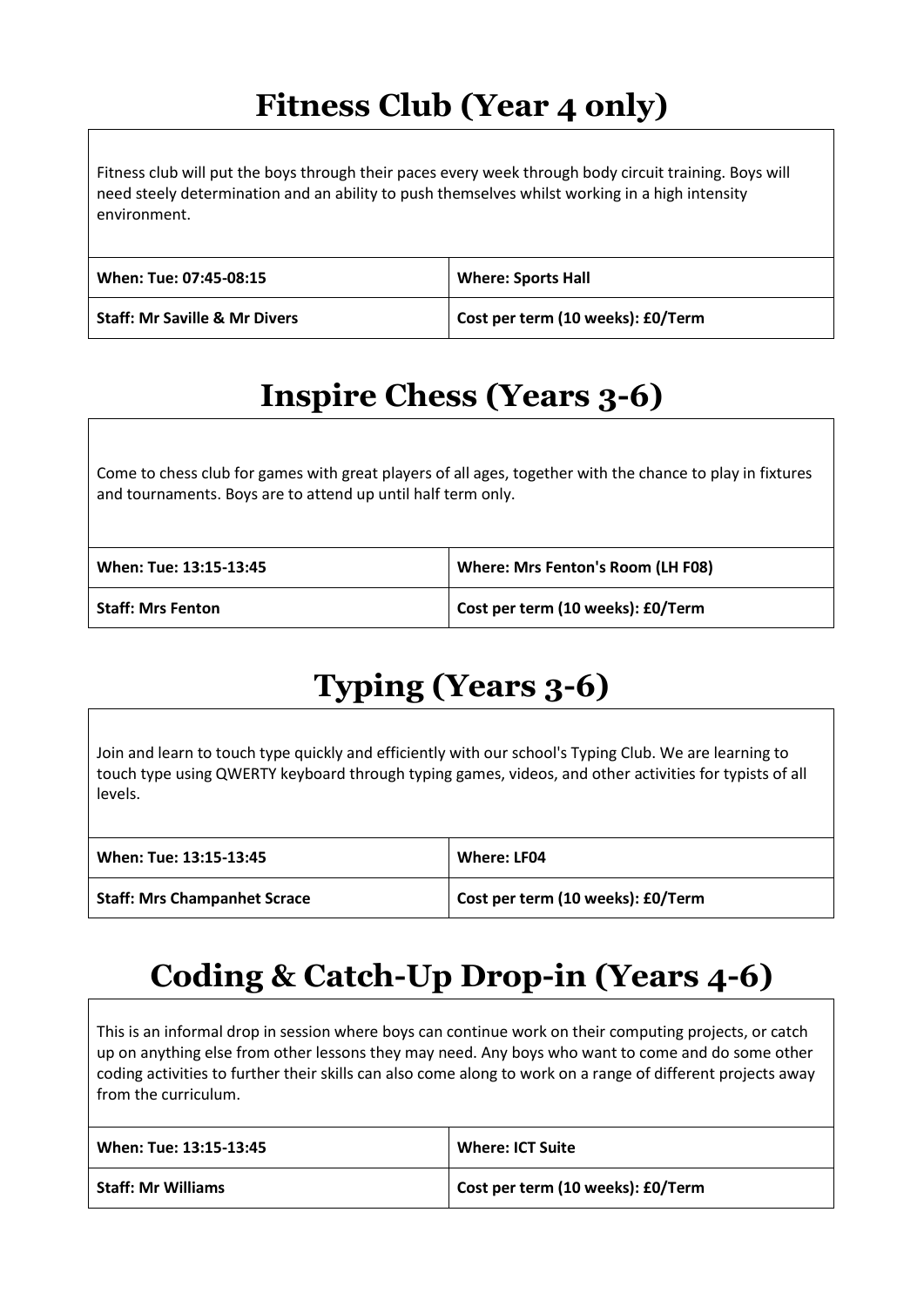#### **Fitness Club (Year 4 only)**

Fitness club will put the boys through their paces every week through body circuit training. Boys will need steely determination and an ability to push themselves whilst working in a high intensity environment.

| When: Tue: 07:45-08:15                   | <b>Where: Sports Hall</b>         |
|------------------------------------------|-----------------------------------|
| <b>Staff: Mr Saville &amp; Mr Divers</b> | Cost per term (10 weeks): £0/Term |

## **Inspire Chess (Years 3-6)**

Come to chess club for games with great players of all ages, together with the chance to play in fixtures and tournaments. Boys are to attend up until half term only.

| When: Tue: 13:15-13:45   | Where: Mrs Fenton's Room (LH F08) |
|--------------------------|-----------------------------------|
| <b>Staff: Mrs Fenton</b> | Cost per term (10 weeks): £0/Term |

## **Typing (Years 3-6)**

Join and learn to touch type quickly and efficiently with our school's Typing Club. We are learning to touch type using QWERTY keyboard through typing games, videos, and other activities for typists of all levels.

| When: Tue: 13:15-13:45              | Where: LF04                       |
|-------------------------------------|-----------------------------------|
| <b>Staff: Mrs Champanhet Scrace</b> | Cost per term (10 weeks): £0/Term |

## **Coding & Catch-Up Drop-in (Years 4-6)**

This is an informal drop in session where boys can continue work on their computing projects, or catch up on anything else from other lessons they may need. Any boys who want to come and do some other coding activities to further their skills can also come along to work on a range of different projects away from the curriculum.

| When: Tue: 13:15-13:45    | <b>Where: ICT Suite</b>           |
|---------------------------|-----------------------------------|
| <b>Staff: Mr Williams</b> | Cost per term (10 weeks): £0/Term |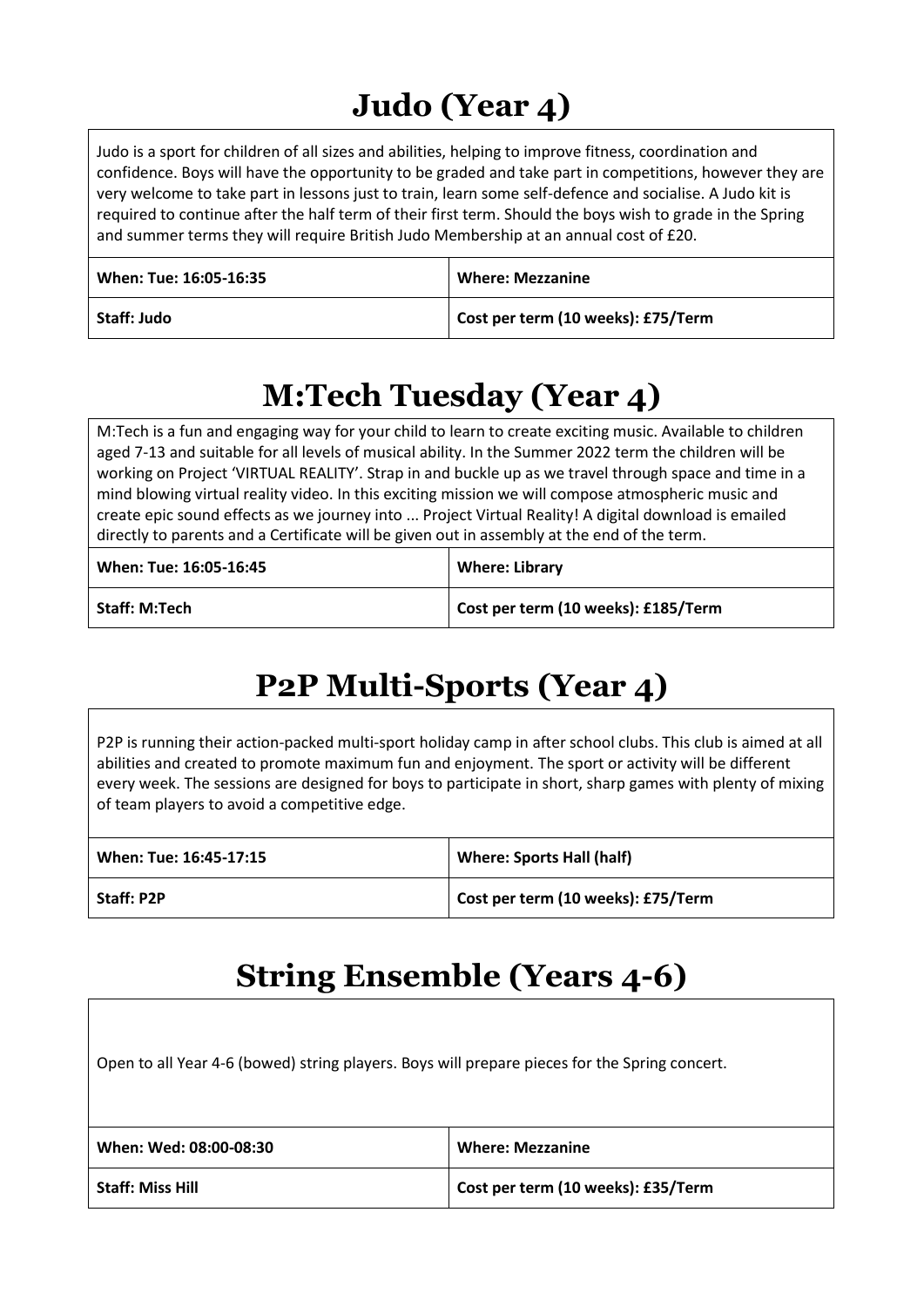## **Judo (Year 4)**

Judo is a sport for children of all sizes and abilities, helping to improve fitness, coordination and confidence. Boys will have the opportunity to be graded and take part in competitions, however they are very welcome to take part in lessons just to train, learn some self-defence and socialise. A Judo kit is required to continue after the half term of their first term. Should the boys wish to grade in the Spring and summer terms they will require British Judo Membership at an annual cost of £20.

| When: Tue: 16:05-16:35 | <b>Where: Mezzanine</b>            |
|------------------------|------------------------------------|
| Staff: Judo            | Cost per term (10 weeks): £75/Term |

#### **M:Tech Tuesday (Year 4)**

M:Tech is a fun and engaging way for your child to learn to create exciting music. Available to children aged 7-13 and suitable for all levels of musical ability. In the Summer 2022 term the children will be working on Project 'VIRTUAL REALITY'. Strap in and buckle up as we travel through space and time in a mind blowing virtual reality video. In this exciting mission we will compose atmospheric music and create epic sound effects as we journey into ... Project Virtual Reality! A digital download is emailed directly to parents and a Certificate will be given out in assembly at the end of the term.

| When: Tue: 16:05-16:45 | <b>Where: Library</b>               |
|------------------------|-------------------------------------|
| l Staff: M:Tech        | Cost per term (10 weeks): £185/Term |

## **P2P Multi-Sports (Year 4)**

P2P is running their action-packed multi-sport holiday camp in after school clubs. This club is aimed at all abilities and created to promote maximum fun and enjoyment. The sport or activity will be different every week. The sessions are designed for boys to participate in short, sharp games with plenty of mixing of team players to avoid a competitive edge.

| When: Tue: 16:45-17:15 | <b>Where: Sports Hall (half)</b>   |
|------------------------|------------------------------------|
| <b>Staff: P2P</b>      | Cost per term (10 weeks): £75/Term |

#### **String Ensemble (Years 4-6)**

Open to all Year 4-6 (bowed) string players. Boys will prepare pieces for the Spring concert.

| When: Wed: 08:00-08:30  | <b>Where: Mezzanine</b>            |
|-------------------------|------------------------------------|
| <b>Staff: Miss Hill</b> | Cost per term (10 weeks): £35/Term |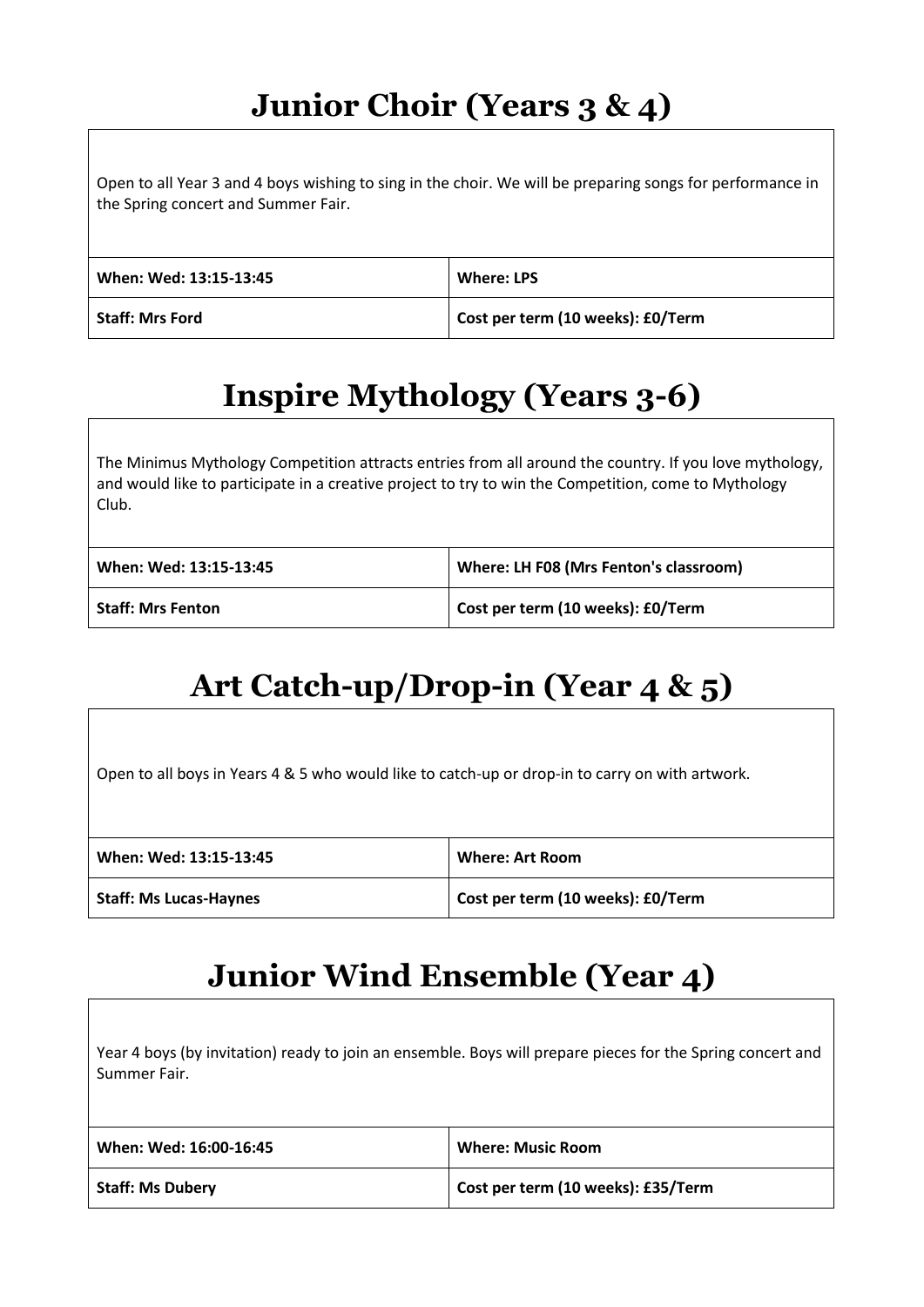## **Junior Choir (Years 3 & 4)**

Open to all Year 3 and 4 boys wishing to sing in the choir. We will be preparing songs for performance in the Spring concert and Summer Fair.

| When: Wed: 13:15-13:45 | <b>Where: LPS</b>                 |
|------------------------|-----------------------------------|
| <b>Staff: Mrs Ford</b> | Cost per term (10 weeks): £0/Term |

## **Inspire Mythology (Years 3-6)**

The Minimus Mythology Competition attracts entries from all around the country. If you love mythology, and would like to participate in a creative project to try to win the Competition, come to Mythology Club.

| When: Wed: 13:15-13:45   | Where: LH F08 (Mrs Fenton's classroom) |
|--------------------------|----------------------------------------|
| <b>Staff: Mrs Fenton</b> | Cost per term (10 weeks): £0/Term      |

## **Art Catch-up/Drop-in (Year 4 & 5)**

Open to all boys in Years 4 & 5 who would like to catch-up or drop-in to carry on with artwork.

| When: Wed: 13:15-13:45        | <b>Where: Art Room</b>            |
|-------------------------------|-----------------------------------|
| <b>Staff: Ms Lucas-Haynes</b> | Cost per term (10 weeks): £0/Term |

#### **Junior Wind Ensemble (Year 4)**

| Year 4 boys (by invitation) ready to join an ensemble. Boys will prepare pieces for the Spring concert and<br>Summer Fair. |                                    |
|----------------------------------------------------------------------------------------------------------------------------|------------------------------------|
| When: Wed: 16:00-16:45                                                                                                     | <b>Where: Music Room</b>           |
| <b>Staff: Ms Dubery</b>                                                                                                    | Cost per term (10 weeks): £35/Term |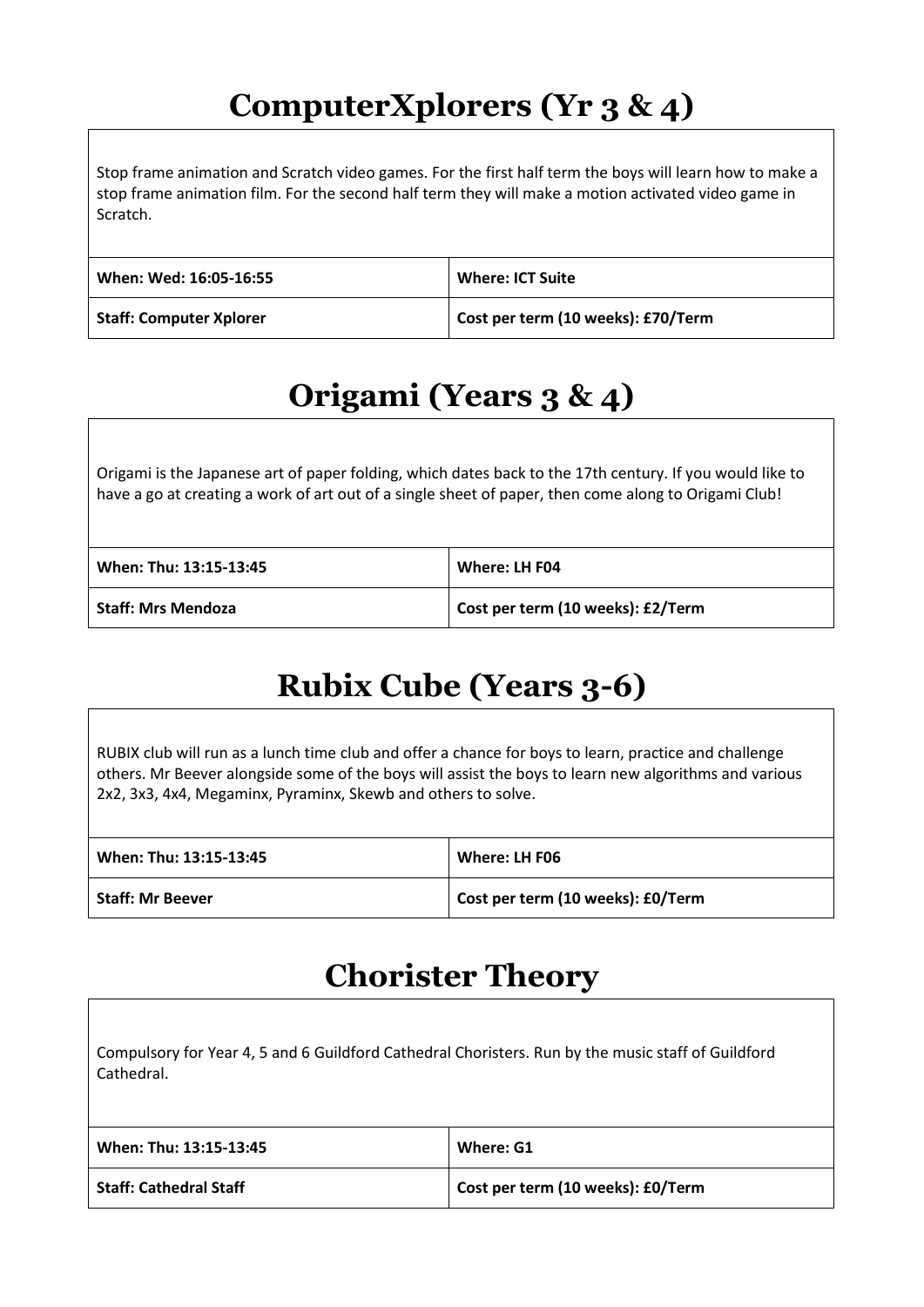#### **ComputerXplorers (Yr 3 & 4)**

Stop frame animation and Scratch video games. For the first half term the boys will learn how to make a stop frame animation film. For the second half term they will make a motion activated video game in Scratch.

| When: Wed: 16:05-16:55         | Where: ICT Suite                   |
|--------------------------------|------------------------------------|
| <b>Staff: Computer Xplorer</b> | Cost per term (10 weeks): £70/Term |

## **Origami (Years 3 & 4)**

Origami is the Japanese art of paper folding, which dates back to the 17th century. If you would like to have a go at creating a work of art out of a single sheet of paper, then come along to Origami Club!

| When: Thu: 13:15-13:45    | Where: LH F04                     |
|---------------------------|-----------------------------------|
| <b>Staff: Mrs Mendoza</b> | Cost per term (10 weeks): £2/Term |

#### **Rubix Cube (Years 3-6)**

RUBIX club will run as a lunch time club and offer a chance for boys to learn, practice and challenge others. Mr Beever alongside some of the boys will assist the boys to learn new algorithms and various 2x2, 3x3, 4x4, Megaminx, Pyraminx, Skewb and others to solve.

| When: Thu: 13:15-13:45  | Where: LH F06                     |
|-------------------------|-----------------------------------|
| <b>Staff: Mr Beever</b> | Cost per term (10 weeks): £0/Term |

#### **Chorister Theory**

| Compulsory for Year 4, 5 and 6 Guildford Cathedral Choristers. Run by the music staff of Guildford<br>Cathedral. |                                   |
|------------------------------------------------------------------------------------------------------------------|-----------------------------------|
| When: Thu: 13:15-13:45                                                                                           | Where: G1                         |
| <b>Staff: Cathedral Staff</b>                                                                                    | Cost per term (10 weeks): £0/Term |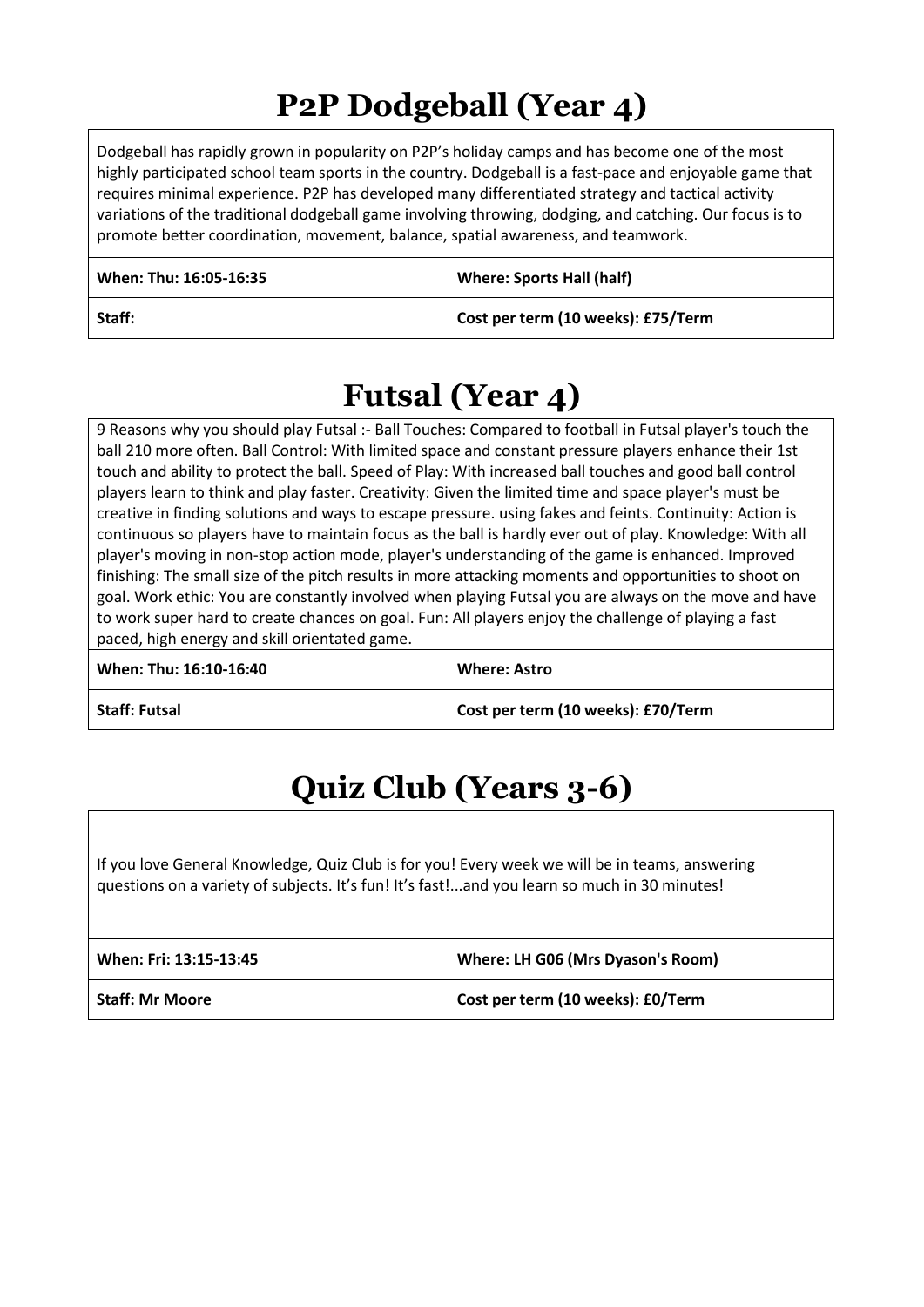## **P2P Dodgeball (Year 4)**

Dodgeball has rapidly grown in popularity on P2P's holiday camps and has become one of the most highly participated school team sports in the country. Dodgeball is a fast-pace and enjoyable game that requires minimal experience. P2P has developed many differentiated strategy and tactical activity variations of the traditional dodgeball game involving throwing, dodging, and catching. Our focus is to promote better coordination, movement, balance, spatial awareness, and teamwork.

| When: Thu: 16:05-16:35 | <b>Where: Sports Hall (half)</b>   |
|------------------------|------------------------------------|
| Staff:                 | Cost per term (10 weeks): £75/Term |

#### **Futsal (Year 4)**

9 Reasons why you should play Futsal :- Ball Touches: Compared to football in Futsal player's touch the ball 210 more often. Ball Control: With limited space and constant pressure players enhance their 1st touch and ability to protect the ball. Speed of Play: With increased ball touches and good ball control players learn to think and play faster. Creativity: Given the limited time and space player's must be creative in finding solutions and ways to escape pressure. using fakes and feints. Continuity: Action is continuous so players have to maintain focus as the ball is hardly ever out of play. Knowledge: With all player's moving in non-stop action mode, player's understanding of the game is enhanced. Improved finishing: The small size of the pitch results in more attacking moments and opportunities to shoot on goal. Work ethic: You are constantly involved when playing Futsal you are always on the move and have to work super hard to create chances on goal. Fun: All players enjoy the challenge of playing a fast paced, high energy and skill orientated game.

| When: Thu: 16:10-16:40 | <b>Where: Astro</b>                |
|------------------------|------------------------------------|
| <b>Staff: Futsal</b>   | Cost per term (10 weeks): £70/Term |

## **Quiz Club (Years 3-6)**

If you love General Knowledge, Quiz Club is for you! Every week we will be in teams, answering questions on a variety of subjects. It's fun! It's fast!...and you learn so much in 30 minutes!

| When: Fri: 13:15-13:45 | Where: LH G06 (Mrs Dyason's Room) |
|------------------------|-----------------------------------|
| <b>Staff: Mr Moore</b> | Cost per term (10 weeks): £0/Term |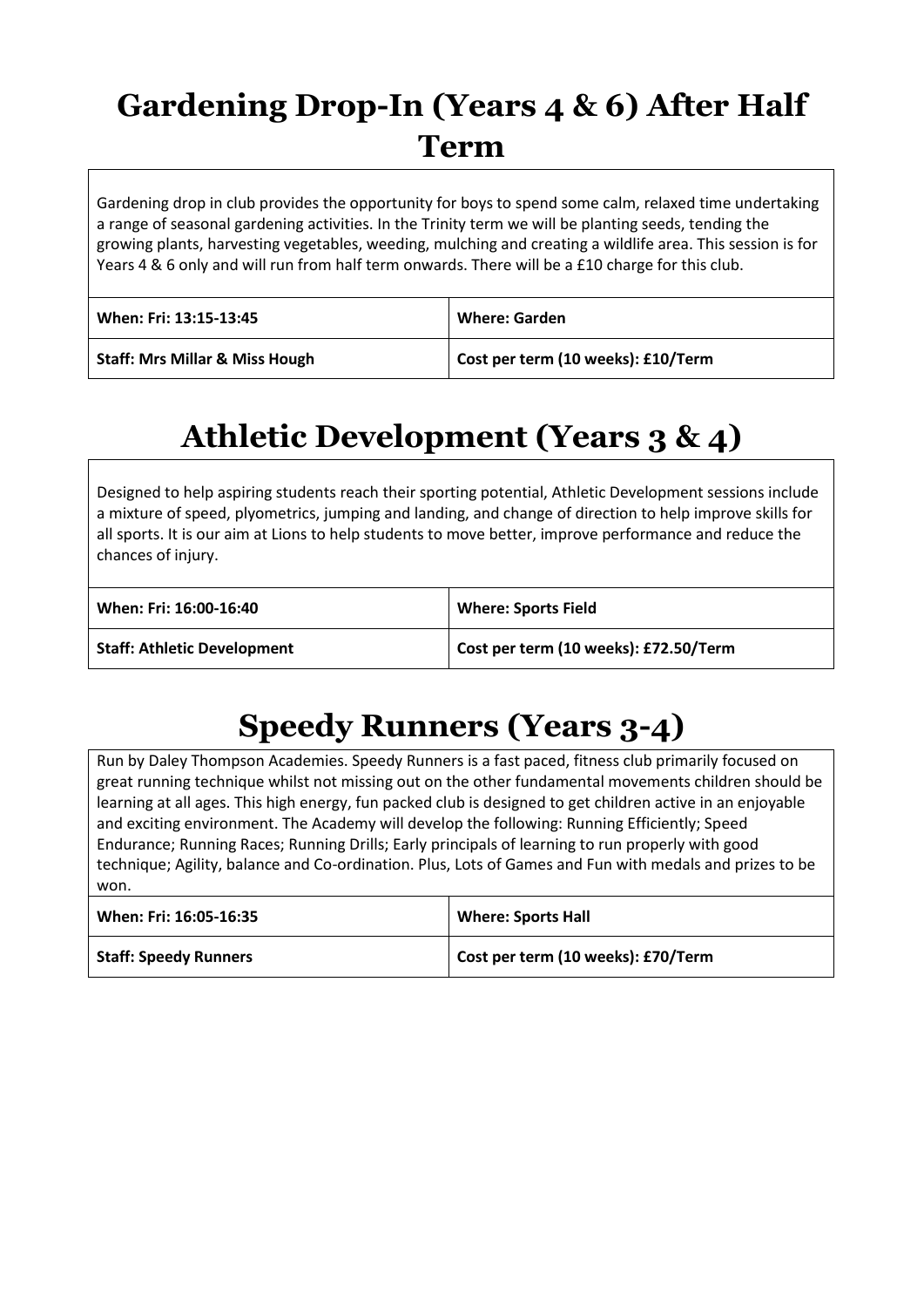## **Gardening Drop-In (Years 4 & 6) After Half Term**

Gardening drop in club provides the opportunity for boys to spend some calm, relaxed time undertaking a range of seasonal gardening activities. In the Trinity term we will be planting seeds, tending the growing plants, harvesting vegetables, weeding, mulching and creating a wildlife area. This session is for Years 4 & 6 only and will run from half term onwards. There will be a £10 charge for this club.

| When: Fri: 13:15-13:45                    | <b>Where: Garden</b>               |
|-------------------------------------------|------------------------------------|
| <b>Staff: Mrs Millar &amp; Miss Hough</b> | Cost per term (10 weeks): £10/Term |

## **Athletic Development (Years 3 & 4)**

Designed to help aspiring students reach their sporting potential, Athletic Development sessions include a mixture of speed, plyometrics, jumping and landing, and change of direction to help improve skills for all sports. It is our aim at Lions to help students to move better, improve performance and reduce the chances of injury.

| When: Fri: 16:00-16:40             | <b>Where: Sports Field</b>            |
|------------------------------------|---------------------------------------|
| <b>Staff: Athletic Development</b> | Cost per term (10 weeks): £72.50/Term |

## **Speedy Runners (Years 3-4)**

Run by Daley Thompson Academies. Speedy Runners is a fast paced, fitness club primarily focused on great running technique whilst not missing out on the other fundamental movements children should be learning at all ages. This high energy, fun packed club is designed to get children active in an enjoyable and exciting environment. The Academy will develop the following: Running Efficiently; Speed Endurance; Running Races; Running Drills; Early principals of learning to run properly with good technique; Agility, balance and Co-ordination. Plus, Lots of Games and Fun with medals and prizes to be won.

| When: Fri: 16:05-16:35       | <b>Where: Sports Hall</b>          |
|------------------------------|------------------------------------|
| <b>Staff: Speedy Runners</b> | Cost per term (10 weeks): £70/Term |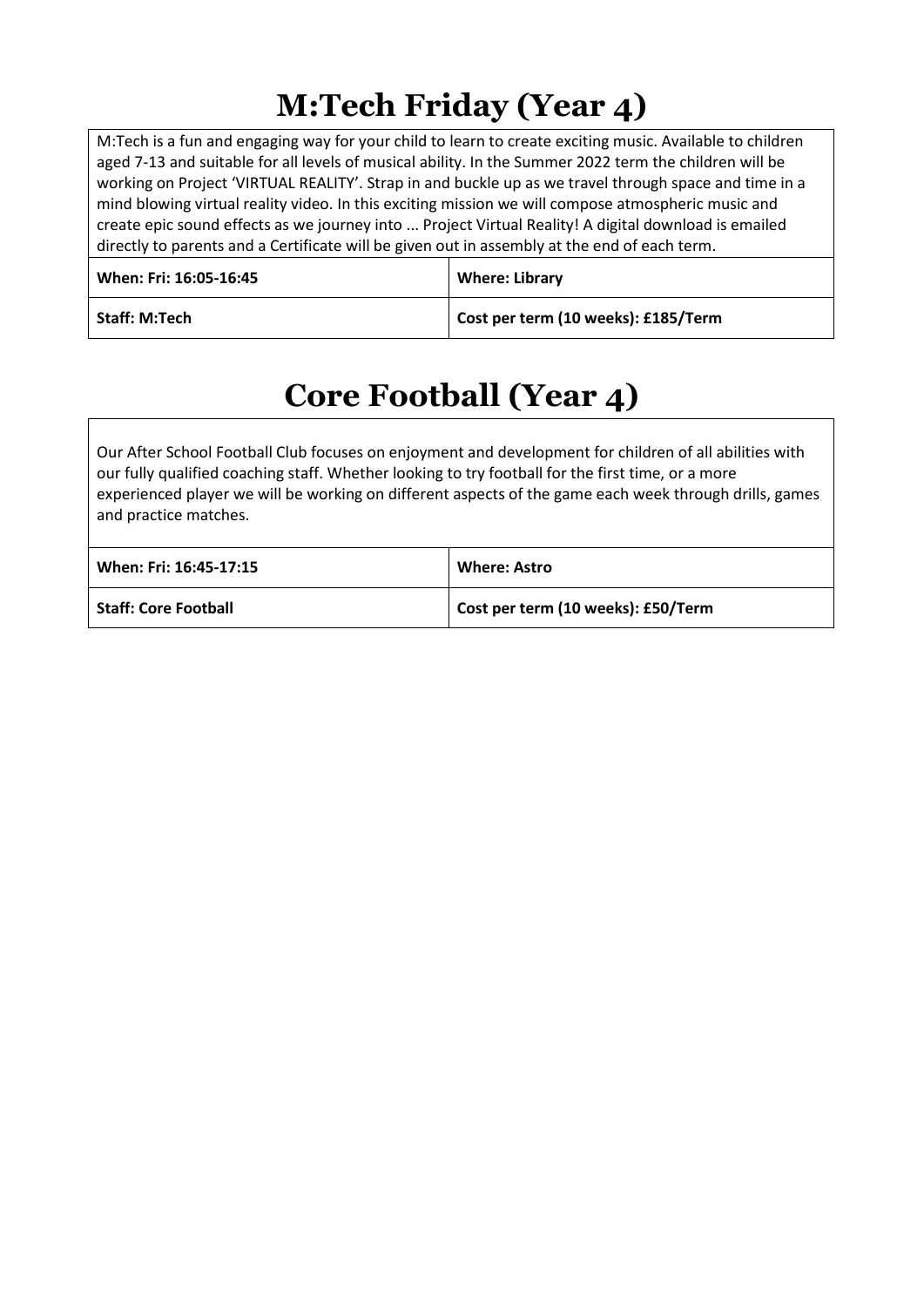## **M:Tech Friday (Year 4)**

M:Tech is a fun and engaging way for your child to learn to create exciting music. Available to children aged 7-13 and suitable for all levels of musical ability. In the Summer 2022 term the children will be working on Project 'VIRTUAL REALITY'. Strap in and buckle up as we travel through space and time in a mind blowing virtual reality video. In this exciting mission we will compose atmospheric music and create epic sound effects as we journey into ... Project Virtual Reality! A digital download is emailed directly to parents and a Certificate will be given out in assembly at the end of each term.

| When: Fri: 16:05-16:45 | <b>Where: Library</b>               |
|------------------------|-------------------------------------|
| <b>Staff: M:Tech</b>   | Cost per term (10 weeks): £185/Term |

## **Core Football (Year 4)**

Our After School Football Club focuses on enjoyment and development for children of all abilities with our fully qualified coaching staff. Whether looking to try football for the first time, or a more experienced player we will be working on different aspects of the game each week through drills, games and practice matches.

| When: Fri: 16:45-17:15      | <b>Where: Astro</b>                |
|-----------------------------|------------------------------------|
| <b>Staff: Core Football</b> | Cost per term (10 weeks): £50/Term |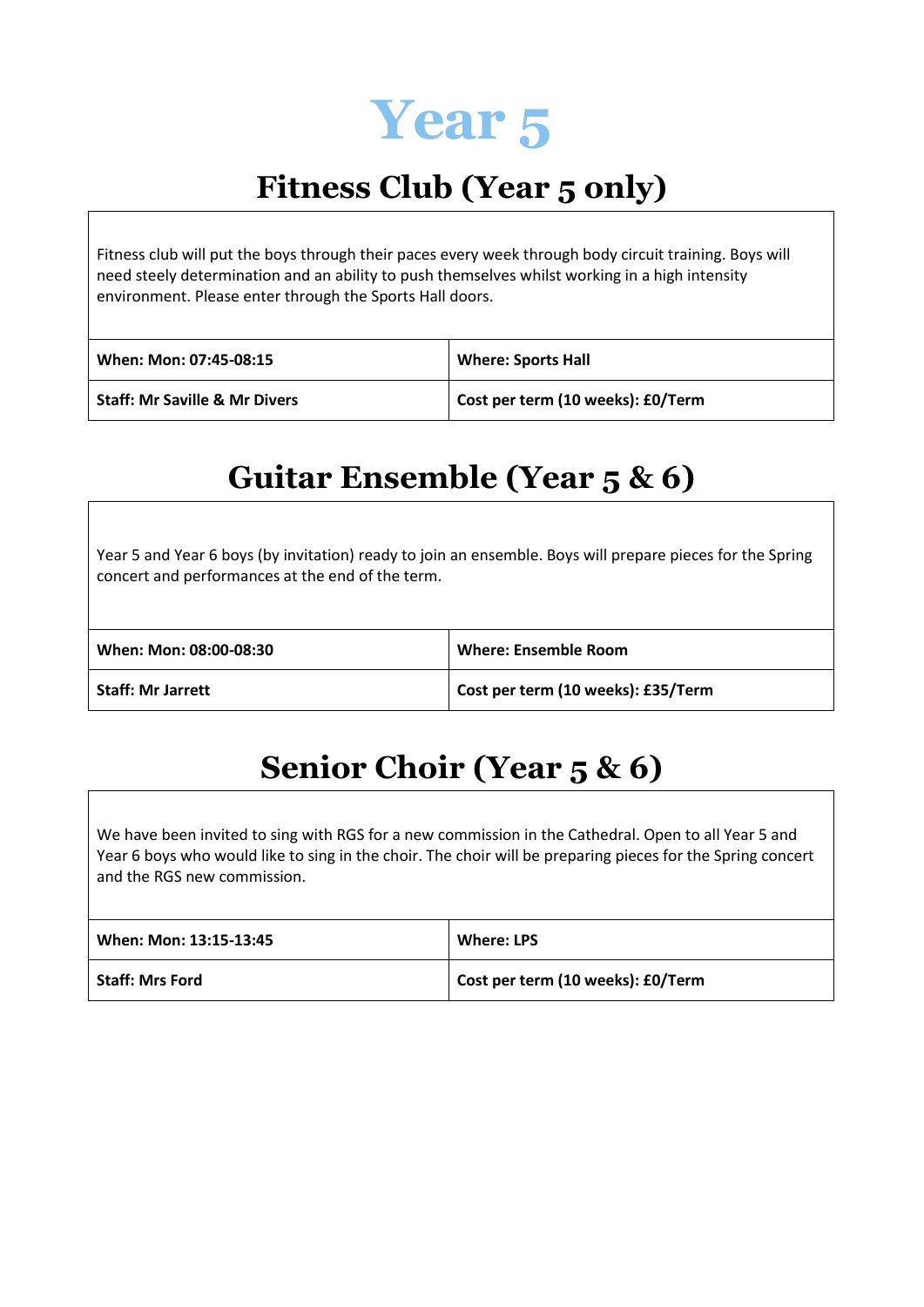

## **Fitness Club (Year 5 only)**

Fitness club will put the boys through their paces every week through body circuit training. Boys will need steely determination and an ability to push themselves whilst working in a high intensity environment. Please enter through the Sports Hall doors.

| When: Mon: 07:45-08:15                   | <b>Where: Sports Hall</b>         |
|------------------------------------------|-----------------------------------|
| <b>Staff: Mr Saville &amp; Mr Divers</b> | Cost per term (10 weeks): £0/Term |

#### **Guitar Ensemble (Year 5 & 6)**

Year 5 and Year 6 boys (by invitation) ready to join an ensemble. Boys will prepare pieces for the Spring concert and performances at the end of the term.

| When: Mon: 08:00-08:30   | Where: Ensemble Room               |
|--------------------------|------------------------------------|
| <b>Staff: Mr Jarrett</b> | Cost per term (10 weeks): £35/Term |

## **Senior Choir (Year 5 & 6)**

We have been invited to sing with RGS for a new commission in the Cathedral. Open to all Year 5 and Year 6 boys who would like to sing in the choir. The choir will be preparing pieces for the Spring concert and the RGS new commission.

| When: Mon: 13:15-13:45 | Where: LPS                        |
|------------------------|-----------------------------------|
| <b>Staff: Mrs Ford</b> | Cost per term (10 weeks): £0/Term |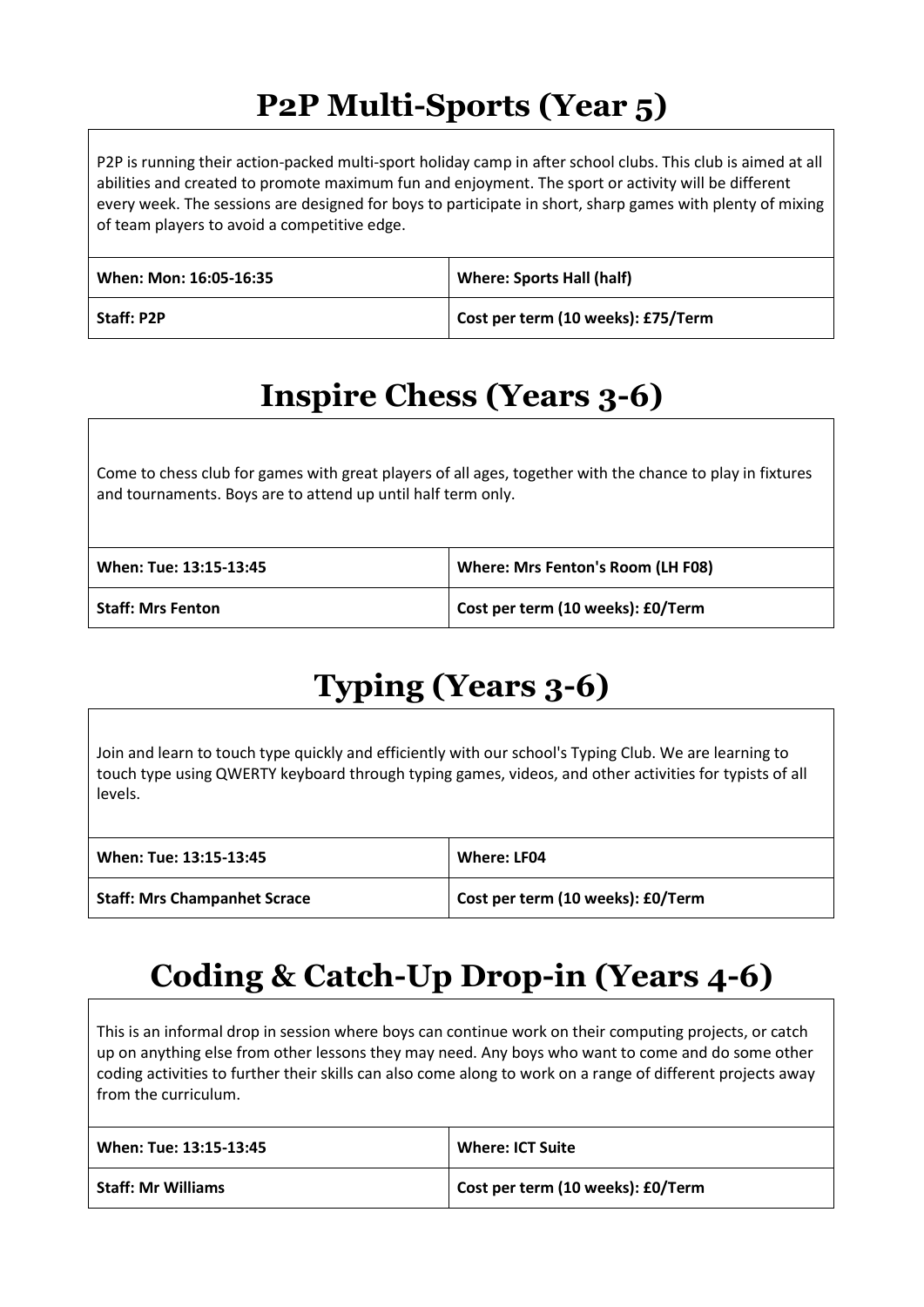## **P2P Multi-Sports (Year 5)**

P2P is running their action-packed multi-sport holiday camp in after school clubs. This club is aimed at all abilities and created to promote maximum fun and enjoyment. The sport or activity will be different every week. The sessions are designed for boys to participate in short, sharp games with plenty of mixing of team players to avoid a competitive edge.

| When: Mon: 16:05-16:35 | <b>Where: Sports Hall (half)</b>   |
|------------------------|------------------------------------|
| <b>Staff: P2P</b>      | Cost per term (10 weeks): £75/Term |

## **Inspire Chess (Years 3-6)**

Come to chess club for games with great players of all ages, together with the chance to play in fixtures and tournaments. Boys are to attend up until half term only.

| When: Tue: 13:15-13:45   | Where: Mrs Fenton's Room (LH F08) |
|--------------------------|-----------------------------------|
| <b>Staff: Mrs Fenton</b> | Cost per term (10 weeks): £0/Term |

## **Typing (Years 3-6)**

Join and learn to touch type quickly and efficiently with our school's Typing Club. We are learning to touch type using QWERTY keyboard through typing games, videos, and other activities for typists of all levels.

| When: Tue: 13:15-13:45              | Where: LF04                       |
|-------------------------------------|-----------------------------------|
| <b>Staff: Mrs Champanhet Scrace</b> | Cost per term (10 weeks): £0/Term |

## **Coding & Catch-Up Drop-in (Years 4-6)**

This is an informal drop in session where boys can continue work on their computing projects, or catch up on anything else from other lessons they may need. Any boys who want to come and do some other coding activities to further their skills can also come along to work on a range of different projects away from the curriculum.

| When: Tue: 13:15-13:45    | <b>Where: ICT Suite</b>           |
|---------------------------|-----------------------------------|
| <b>Staff: Mr Williams</b> | Cost per term (10 weeks): £0/Term |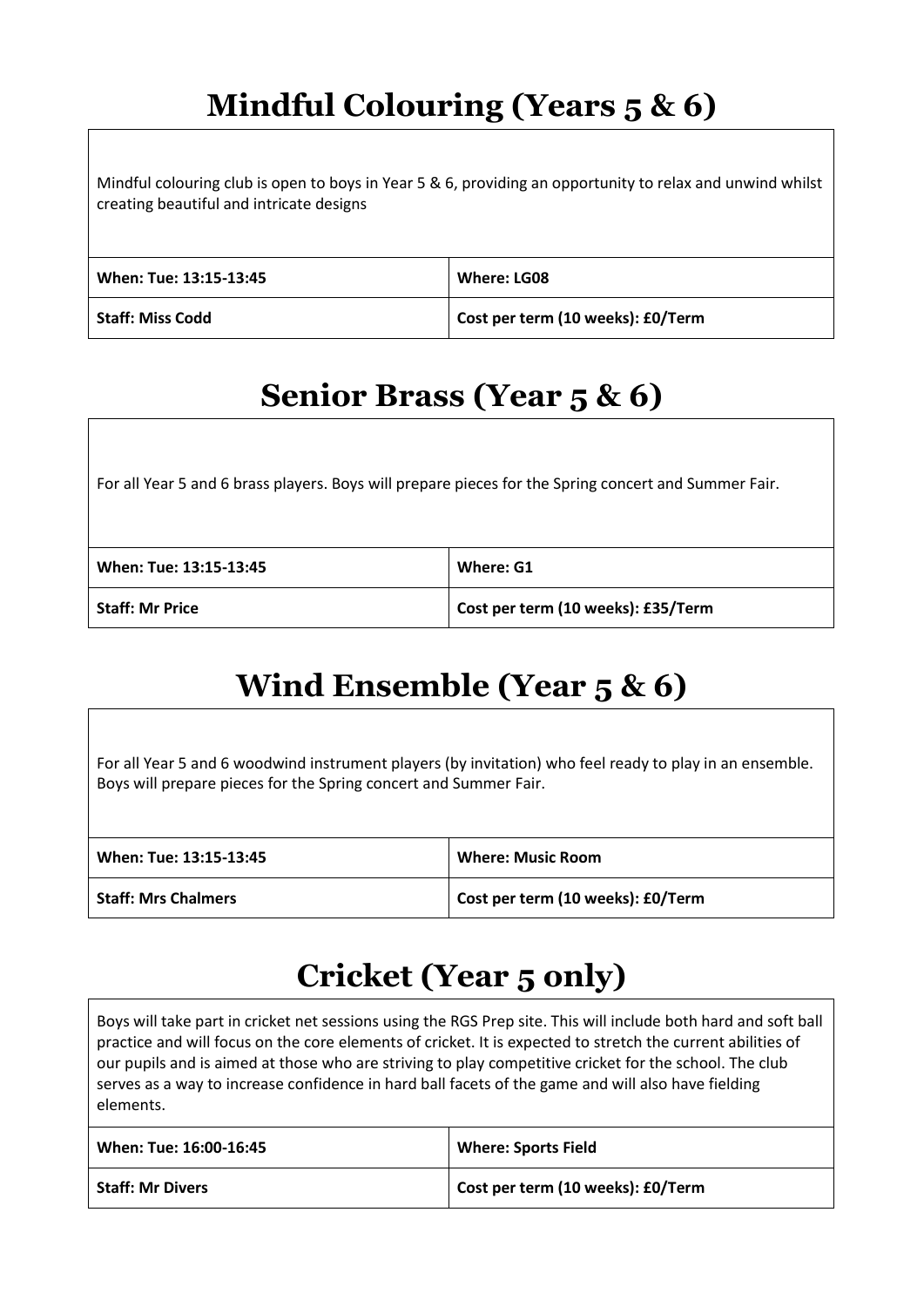## **Mindful Colouring (Years 5 & 6)**

Mindful colouring club is open to boys in Year 5 & 6, providing an opportunity to relax and unwind whilst creating beautiful and intricate designs

| When: Tue: 13:15-13:45  | Where: LG08                       |
|-------------------------|-----------------------------------|
| <b>Staff: Miss Codd</b> | Cost per term (10 weeks): £0/Term |

#### **Senior Brass (Year 5 & 6)**

For all Year 5 and 6 brass players. Boys will prepare pieces for the Spring concert and Summer Fair.

| When: Tue: 13:15-13:45 | Where: G1                          |
|------------------------|------------------------------------|
| <b>Staff: Mr Price</b> | Cost per term (10 weeks): £35/Term |

## **Wind Ensemble (Year 5 & 6)**

For all Year 5 and 6 woodwind instrument players (by invitation) who feel ready to play in an ensemble. Boys will prepare pieces for the Spring concert and Summer Fair.

| When: Tue: 13:15-13:45     | <b>Where: Music Room</b>          |
|----------------------------|-----------------------------------|
| <b>Staff: Mrs Chalmers</b> | Cost per term (10 weeks): £0/Term |

#### **Cricket (Year 5 only)**

Boys will take part in cricket net sessions using the RGS Prep site. This will include both hard and soft ball practice and will focus on the core elements of cricket. It is expected to stretch the current abilities of our pupils and is aimed at those who are striving to play competitive cricket for the school. The club serves as a way to increase confidence in hard ball facets of the game and will also have fielding elements.

| When: Tue: 16:00-16:45  | <b>Where: Sports Field</b>        |
|-------------------------|-----------------------------------|
| <b>Staff: Mr Divers</b> | Cost per term (10 weeks): £0/Term |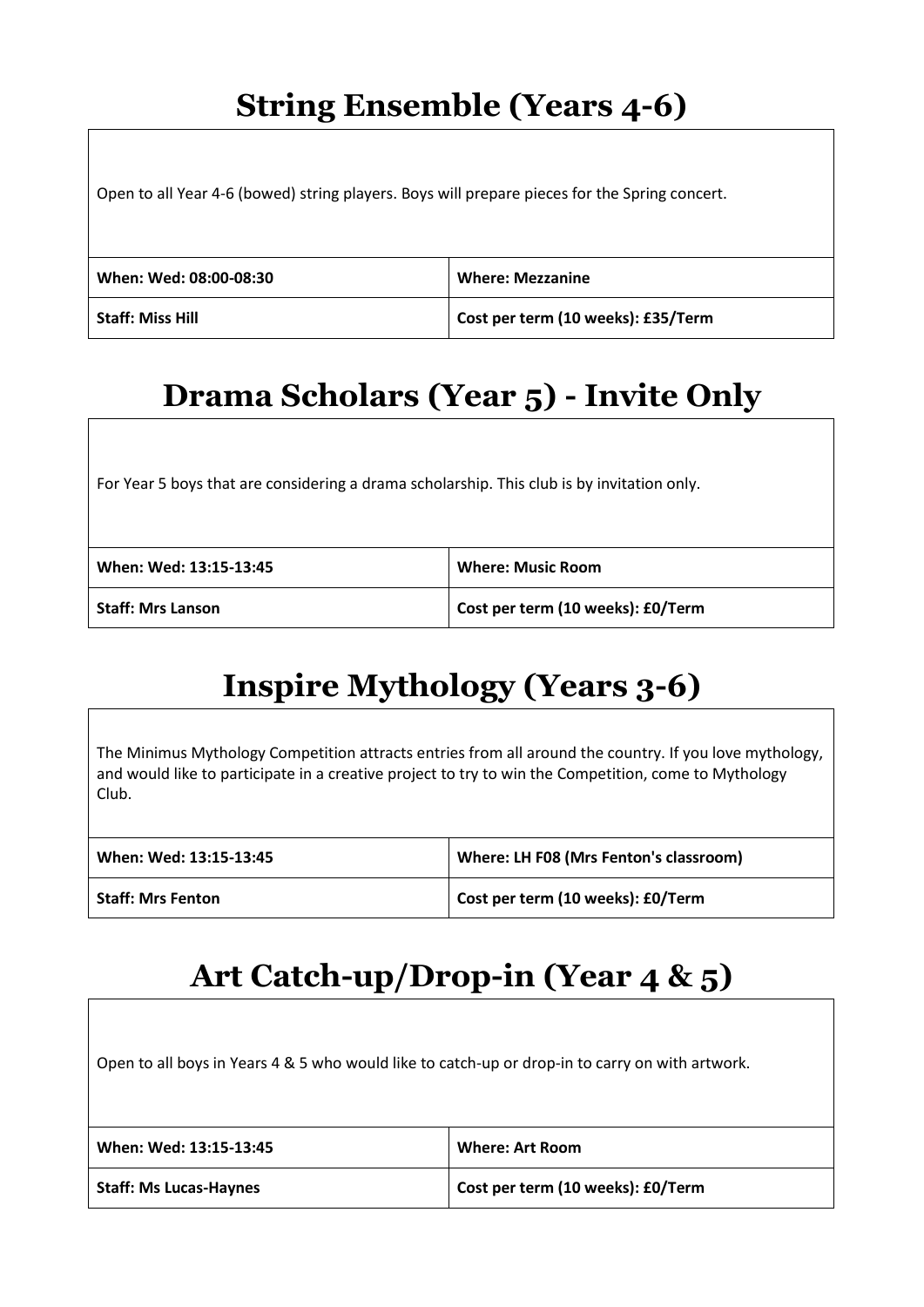#### **String Ensemble (Years 4-6)**

Open to all Year 4-6 (bowed) string players. Boys will prepare pieces for the Spring concert.

| When: Wed: 08:00-08:30  | <b>Where: Mezzanine</b>            |
|-------------------------|------------------------------------|
| <b>Staff: Miss Hill</b> | Cost per term (10 weeks): £35/Term |

## **Drama Scholars (Year 5) - Invite Only**

For Year 5 boys that are considering a drama scholarship. This club is by invitation only.

| When: Wed: 13:15-13:45 | <b>Where: Music Room</b>          |
|------------------------|-----------------------------------|
| Staff: Mrs Lanson      | Cost per term (10 weeks): £0/Term |

## **Inspire Mythology (Years 3-6)**

The Minimus Mythology Competition attracts entries from all around the country. If you love mythology, and would like to participate in a creative project to try to win the Competition, come to Mythology Club.

| When: Wed: 13:15-13:45   | Where: LH F08 (Mrs Fenton's classroom) |
|--------------------------|----------------------------------------|
| <b>Staff: Mrs Fenton</b> | Cost per term (10 weeks): £0/Term      |

#### **Art Catch-up/Drop-in (Year 4 & 5)**

Open to all boys in Years 4 & 5 who would like to catch-up or drop-in to carry on with artwork.

| When: Wed: 13:15-13:45        | Where: Art Room                   |
|-------------------------------|-----------------------------------|
| <b>Staff: Ms Lucas-Haynes</b> | Cost per term (10 weeks): £0/Term |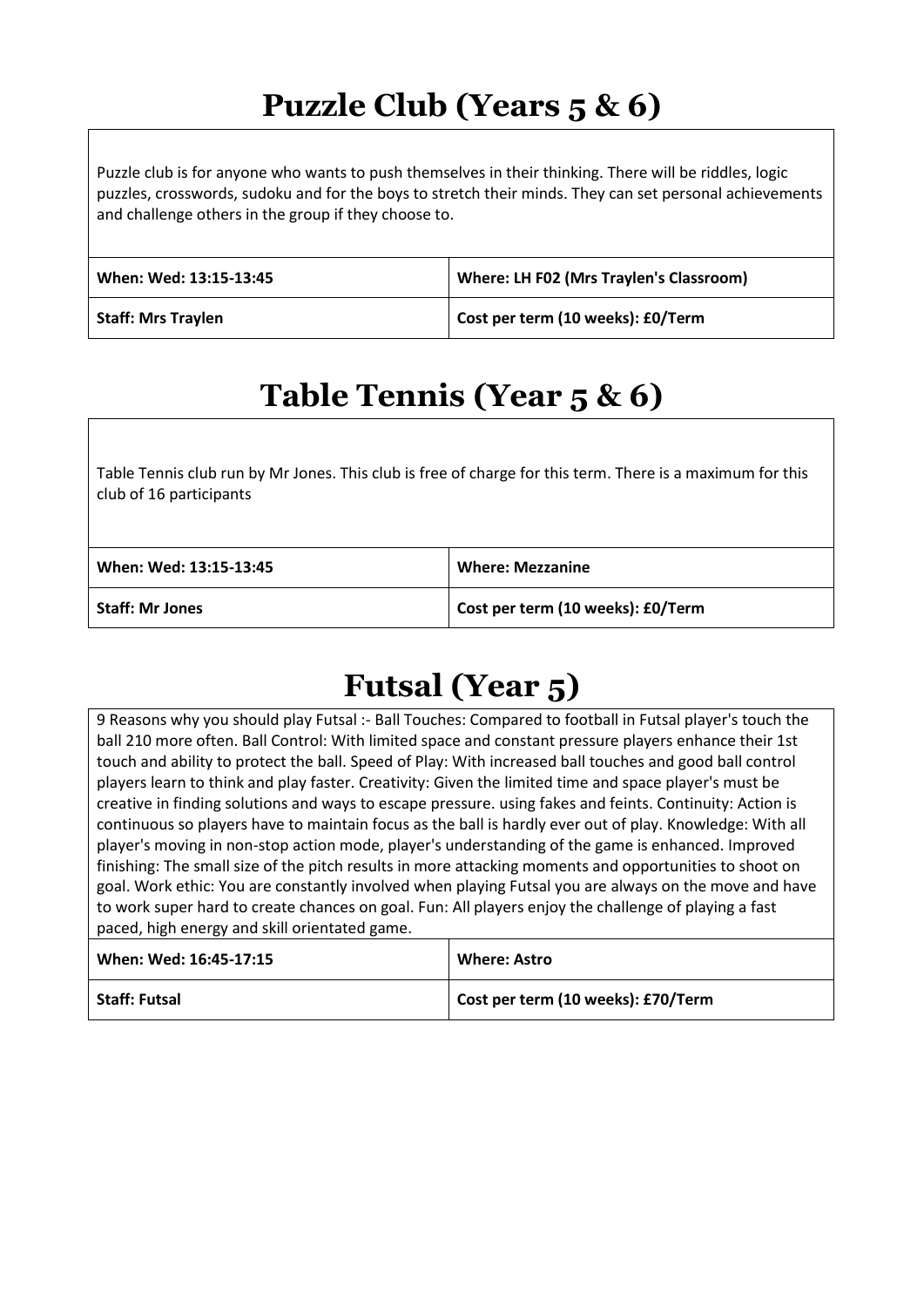## **Puzzle Club (Years 5 & 6)**

Puzzle club is for anyone who wants to push themselves in their thinking. There will be riddles, logic puzzles, crosswords, sudoku and for the boys to stretch their minds. They can set personal achievements and challenge others in the group if they choose to.

| When: Wed: 13:15-13:45    | Where: LH F02 (Mrs Traylen's Classroom) |
|---------------------------|-----------------------------------------|
| <b>Staff: Mrs Traylen</b> | Cost per term (10 weeks): £0/Term       |

## **Table Tennis (Year 5 & 6)**

Table Tennis club run by Mr Jones. This club is free of charge for this term. There is a maximum for this club of 16 participants

| When: Wed: 13:15-13:45 | <b>Where: Mezzanine</b>           |
|------------------------|-----------------------------------|
| Staff: Mr Jones        | Cost per term (10 weeks): £0/Term |

## **Futsal (Year 5)**

9 Reasons why you should play Futsal :- Ball Touches: Compared to football in Futsal player's touch the ball 210 more often. Ball Control: With limited space and constant pressure players enhance their 1st touch and ability to protect the ball. Speed of Play: With increased ball touches and good ball control players learn to think and play faster. Creativity: Given the limited time and space player's must be creative in finding solutions and ways to escape pressure. using fakes and feints. Continuity: Action is continuous so players have to maintain focus as the ball is hardly ever out of play. Knowledge: With all player's moving in non-stop action mode, player's understanding of the game is enhanced. Improved finishing: The small size of the pitch results in more attacking moments and opportunities to shoot on goal. Work ethic: You are constantly involved when playing Futsal you are always on the move and have to work super hard to create chances on goal. Fun: All players enjoy the challenge of playing a fast paced, high energy and skill orientated game.

| When: Wed: 16:45-17:15 | <b>Where: Astro</b>                |
|------------------------|------------------------------------|
| <b>Staff: Futsal</b>   | Cost per term (10 weeks): £70/Term |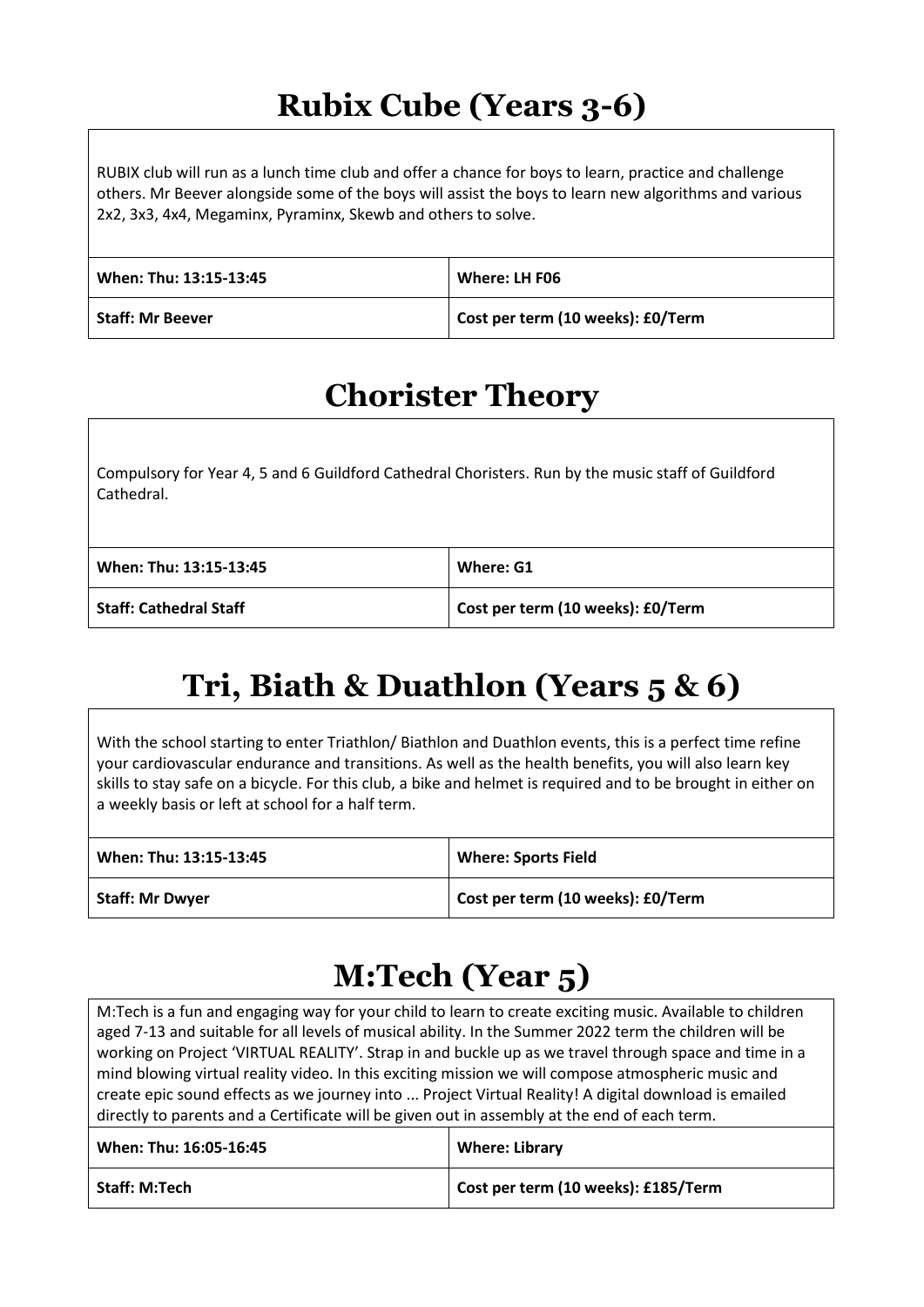## **Rubix Cube (Years 3-6)**

RUBIX club will run as a lunch time club and offer a chance for boys to learn, practice and challenge others. Mr Beever alongside some of the boys will assist the boys to learn new algorithms and various 2x2, 3x3, 4x4, Megaminx, Pyraminx, Skewb and others to solve.

| When: Thu: 13:15-13:45  | Where: LH F06                     |
|-------------------------|-----------------------------------|
| <b>Staff: Mr Beever</b> | Cost per term (10 weeks): £0/Term |

#### **Chorister Theory**

Compulsory for Year 4, 5 and 6 Guildford Cathedral Choristers. Run by the music staff of Guildford Cathedral.

| When: Thu: 13:15-13:45        | Where: G1                         |
|-------------------------------|-----------------------------------|
| <b>Staff: Cathedral Staff</b> | Cost per term (10 weeks): £0/Term |

## **Tri, Biath & Duathlon (Years 5 & 6)**

With the school starting to enter Triathlon/ Biathlon and Duathlon events, this is a perfect time refine your cardiovascular endurance and transitions. As well as the health benefits, you will also learn key skills to stay safe on a bicycle. For this club, a bike and helmet is required and to be brought in either on a weekly basis or left at school for a half term.

| When: Thu: 13:15-13:45 | <b>Where: Sports Field</b>        |
|------------------------|-----------------------------------|
| <b>Staff: Mr Dwyer</b> | Cost per term (10 weeks): £0/Term |

## **M:Tech (Year 5)**

M:Tech is a fun and engaging way for your child to learn to create exciting music. Available to children aged 7-13 and suitable for all levels of musical ability. In the Summer 2022 term the children will be working on Project 'VIRTUAL REALITY'. Strap in and buckle up as we travel through space and time in a mind blowing virtual reality video. In this exciting mission we will compose atmospheric music and create epic sound effects as we journey into ... Project Virtual Reality! A digital download is emailed directly to parents and a Certificate will be given out in assembly at the end of each term.

| When: Thu: 16:05-16:45 | <b>Where: Library</b>               |
|------------------------|-------------------------------------|
| <b>Staff: M:Tech</b>   | Cost per term (10 weeks): £185/Term |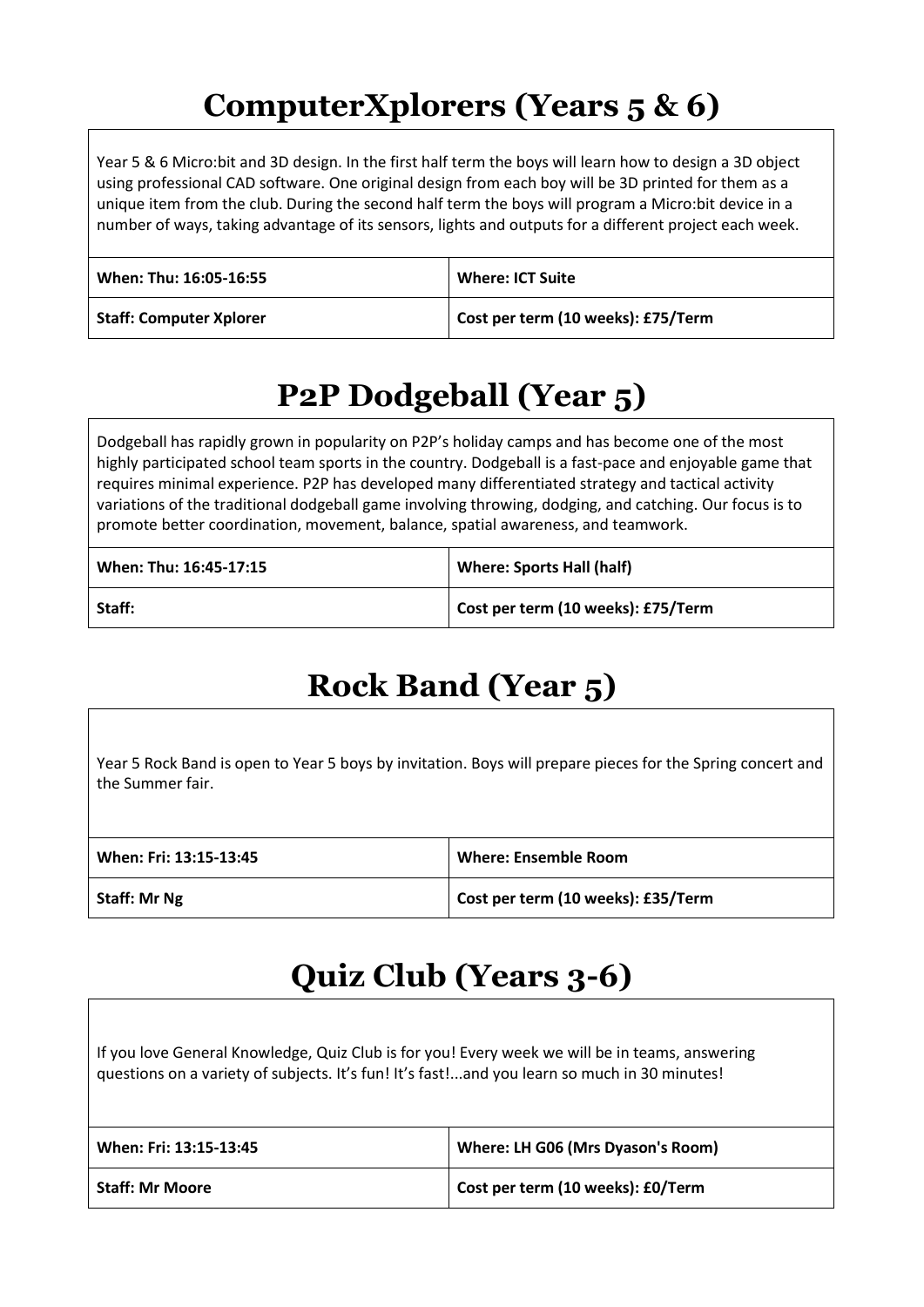## **ComputerXplorers (Years 5 & 6)**

Year 5 & 6 Micro:bit and 3D design. In the first half term the boys will learn how to design a 3D object using professional CAD software. One original design from each boy will be 3D printed for them as a unique item from the club. During the second half term the boys will program a Micro:bit device in a number of ways, taking advantage of its sensors, lights and outputs for a different project each week.

| When: Thu: 16:05-16:55         | <b>Where: ICT Suite</b>            |
|--------------------------------|------------------------------------|
| <b>Staff: Computer Xplorer</b> | Cost per term (10 weeks): £75/Term |

## **P2P Dodgeball (Year 5)**

Dodgeball has rapidly grown in popularity on P2P's holiday camps and has become one of the most highly participated school team sports in the country. Dodgeball is a fast-pace and enjoyable game that requires minimal experience. P2P has developed many differentiated strategy and tactical activity variations of the traditional dodgeball game involving throwing, dodging, and catching. Our focus is to promote better coordination, movement, balance, spatial awareness, and teamwork.

| When: Thu: 16:45-17:15 | <b>Where: Sports Hall (half)</b>   |
|------------------------|------------------------------------|
| Staff:                 | Cost per term (10 weeks): £75/Term |

## **Rock Band (Year 5)**

Year 5 Rock Band is open to Year 5 boys by invitation. Boys will prepare pieces for the Spring concert and the Summer fair.

| When: Fri: 13:15-13:45 | <b>Where: Ensemble Room</b>        |
|------------------------|------------------------------------|
| <b>Staff: Mr Ng</b>    | Cost per term (10 weeks): £35/Term |

## **Quiz Club (Years 3-6)**

If you love General Knowledge, Quiz Club is for you! Every week we will be in teams, answering questions on a variety of subjects. It's fun! It's fast!...and you learn so much in 30 minutes!

| When: Fri: 13:15-13:45 | Where: LH G06 (Mrs Dyason's Room) |
|------------------------|-----------------------------------|
| <b>Staff: Mr Moore</b> | Cost per term (10 weeks): £0/Term |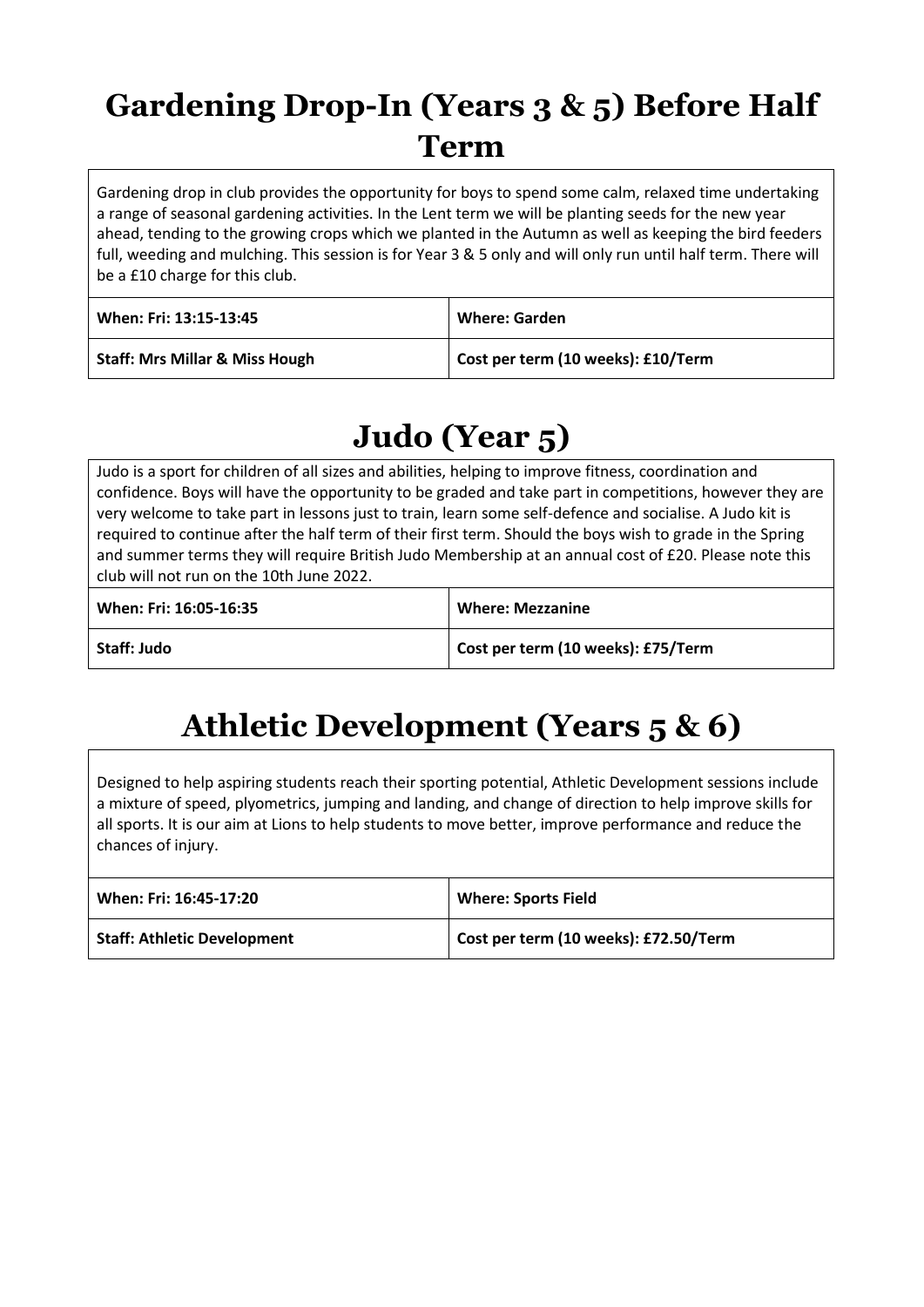## **Gardening Drop-In (Years 3 & 5) Before Half Term**

Gardening drop in club provides the opportunity for boys to spend some calm, relaxed time undertaking a range of seasonal gardening activities. In the Lent term we will be planting seeds for the new year ahead, tending to the growing crops which we planted in the Autumn as well as keeping the bird feeders full, weeding and mulching. This session is for Year 3 & 5 only and will only run until half term. There will be a £10 charge for this club.

| When: Fri: 13:15-13:45                    | <b>Where: Garden</b>               |
|-------------------------------------------|------------------------------------|
| <b>Staff: Mrs Millar &amp; Miss Hough</b> | Cost per term (10 weeks): £10/Term |

## **Judo (Year 5)**

Judo is a sport for children of all sizes and abilities, helping to improve fitness, coordination and confidence. Boys will have the opportunity to be graded and take part in competitions, however they are very welcome to take part in lessons just to train, learn some self-defence and socialise. A Judo kit is required to continue after the half term of their first term. Should the boys wish to grade in the Spring and summer terms they will require British Judo Membership at an annual cost of £20. Please note this club will not run on the 10th June 2022.

| When: Fri: 16:05-16:35 | <b>Where: Mezzanine</b>            |
|------------------------|------------------------------------|
| Staff: Judo            | Cost per term (10 weeks): £75/Term |

## **Athletic Development (Years 5 & 6)**

Designed to help aspiring students reach their sporting potential, Athletic Development sessions include a mixture of speed, plyometrics, jumping and landing, and change of direction to help improve skills for all sports. It is our aim at Lions to help students to move better, improve performance and reduce the chances of injury.

| When: Fri: 16:45-17:20             | <b>Where: Sports Field</b>            |
|------------------------------------|---------------------------------------|
| <b>Staff: Athletic Development</b> | Cost per term (10 weeks): £72.50/Term |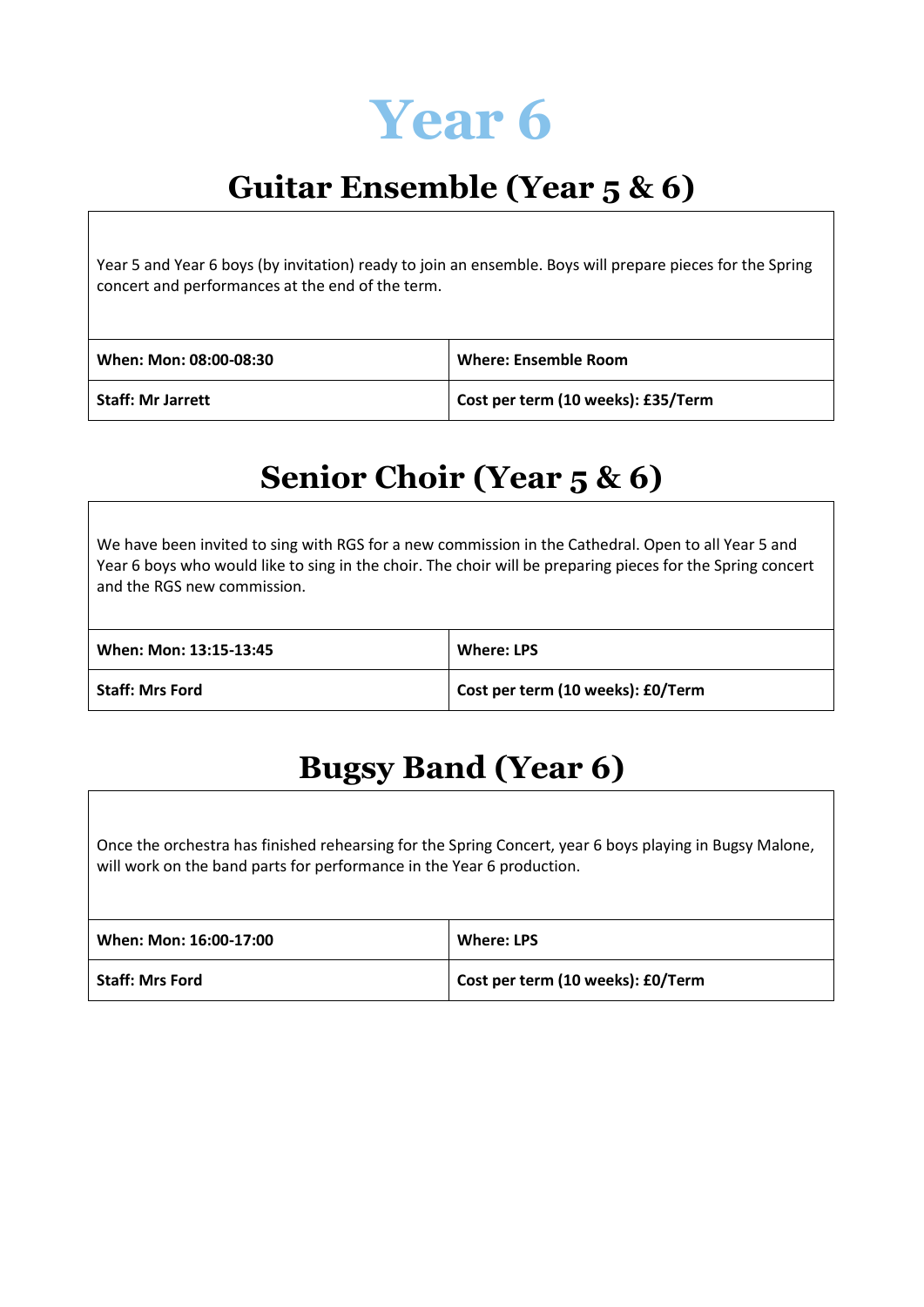

## **Guitar Ensemble (Year 5 & 6)**

Year 5 and Year 6 boys (by invitation) ready to join an ensemble. Boys will prepare pieces for the Spring concert and performances at the end of the term.

| When: Mon: 08:00-08:30 | Where: Ensemble Room               |
|------------------------|------------------------------------|
| Staff: Mr Jarrett      | Cost per term (10 weeks): £35/Term |

#### **Senior Choir (Year 5 & 6)**

We have been invited to sing with RGS for a new commission in the Cathedral. Open to all Year 5 and Year 6 boys who would like to sing in the choir. The choir will be preparing pieces for the Spring concert and the RGS new commission.

| When: Mon: 13:15-13:45 | <b>Where: LPS</b>                 |
|------------------------|-----------------------------------|
| <b>Staff: Mrs Ford</b> | Cost per term (10 weeks): £0/Term |

#### **Bugsy Band (Year 6)**

Once the orchestra has finished rehearsing for the Spring Concert, year 6 boys playing in Bugsy Malone, will work on the band parts for performance in the Year 6 production.

| When: Mon: 16:00-17:00 | <b>Where: LPS</b>                 |
|------------------------|-----------------------------------|
| <b>Staff: Mrs Ford</b> | Cost per term (10 weeks): £0/Term |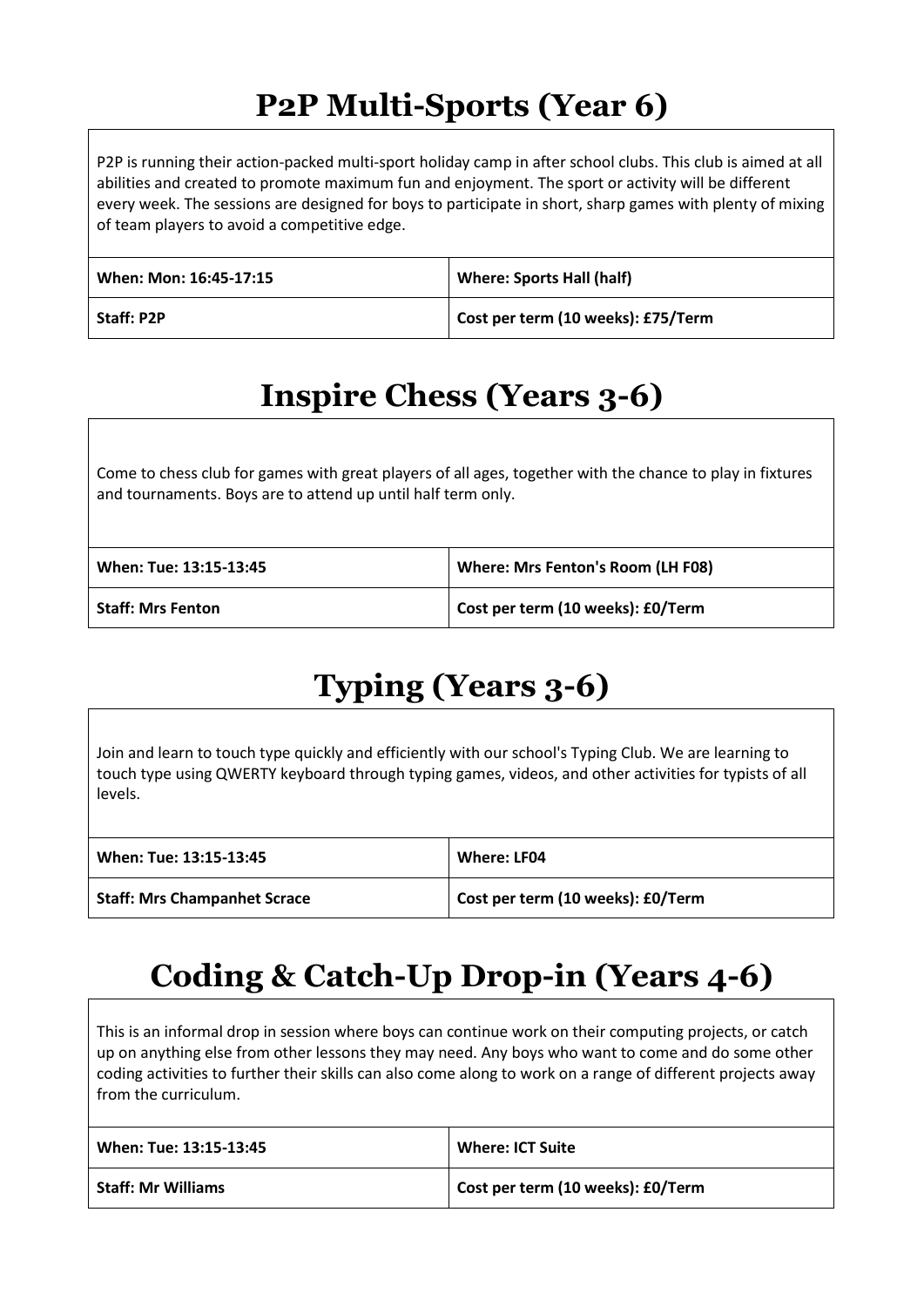## **P2P Multi-Sports (Year 6)**

P2P is running their action-packed multi-sport holiday camp in after school clubs. This club is aimed at all abilities and created to promote maximum fun and enjoyment. The sport or activity will be different every week. The sessions are designed for boys to participate in short, sharp games with plenty of mixing of team players to avoid a competitive edge.

| When: Mon: 16:45-17:15 | <b>Where: Sports Hall (half)</b>   |
|------------------------|------------------------------------|
| <b>Staff: P2P</b>      | Cost per term (10 weeks): £75/Term |

## **Inspire Chess (Years 3-6)**

Come to chess club for games with great players of all ages, together with the chance to play in fixtures and tournaments. Boys are to attend up until half term only.

| When: Tue: 13:15-13:45   | Where: Mrs Fenton's Room (LH F08) |
|--------------------------|-----------------------------------|
| <b>Staff: Mrs Fenton</b> | Cost per term (10 weeks): £0/Term |

## **Typing (Years 3-6)**

Join and learn to touch type quickly and efficiently with our school's Typing Club. We are learning to touch type using QWERTY keyboard through typing games, videos, and other activities for typists of all levels.

| When: Tue: 13:15-13:45              | Where: LF04                       |
|-------------------------------------|-----------------------------------|
| <b>Staff: Mrs Champanhet Scrace</b> | Cost per term (10 weeks): £0/Term |

## **Coding & Catch-Up Drop-in (Years 4-6)**

This is an informal drop in session where boys can continue work on their computing projects, or catch up on anything else from other lessons they may need. Any boys who want to come and do some other coding activities to further their skills can also come along to work on a range of different projects away from the curriculum.

| When: Tue: 13:15-13:45    | <b>Where: ICT Suite</b>           |
|---------------------------|-----------------------------------|
| <b>Staff: Mr Williams</b> | Cost per term (10 weeks): £0/Term |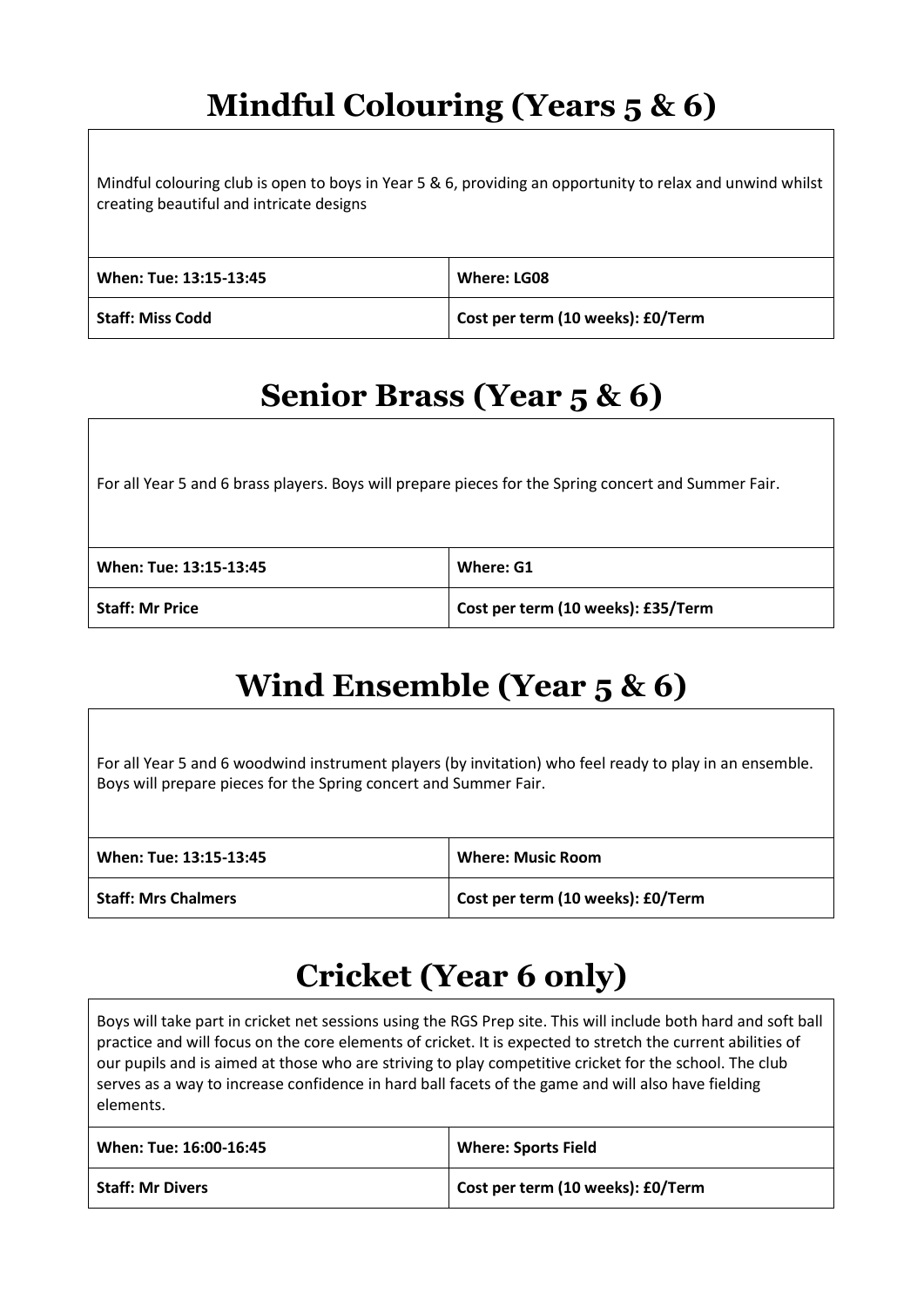## **Mindful Colouring (Years 5 & 6)**

Mindful colouring club is open to boys in Year 5 & 6, providing an opportunity to relax and unwind whilst creating beautiful and intricate designs

| When: Tue: 13:15-13:45  | Where: LG08                       |
|-------------------------|-----------------------------------|
| <b>Staff: Miss Codd</b> | Cost per term (10 weeks): £0/Term |

#### **Senior Brass (Year 5 & 6)**

For all Year 5 and 6 brass players. Boys will prepare pieces for the Spring concert and Summer Fair.

| When: Tue: 13:15-13:45 | Where: G1                          |
|------------------------|------------------------------------|
| <b>Staff: Mr Price</b> | Cost per term (10 weeks): £35/Term |

## **Wind Ensemble (Year 5 & 6)**

For all Year 5 and 6 woodwind instrument players (by invitation) who feel ready to play in an ensemble. Boys will prepare pieces for the Spring concert and Summer Fair.

| When: Tue: 13:15-13:45     | <b>Where: Music Room</b>          |
|----------------------------|-----------------------------------|
| <b>Staff: Mrs Chalmers</b> | Cost per term (10 weeks): £0/Term |

#### **Cricket (Year 6 only)**

Boys will take part in cricket net sessions using the RGS Prep site. This will include both hard and soft ball practice and will focus on the core elements of cricket. It is expected to stretch the current abilities of our pupils and is aimed at those who are striving to play competitive cricket for the school. The club serves as a way to increase confidence in hard ball facets of the game and will also have fielding elements.

| When: Tue: 16:00-16:45  | <b>Where: Sports Field</b>        |
|-------------------------|-----------------------------------|
| <b>Staff: Mr Divers</b> | Cost per term (10 weeks): £0/Term |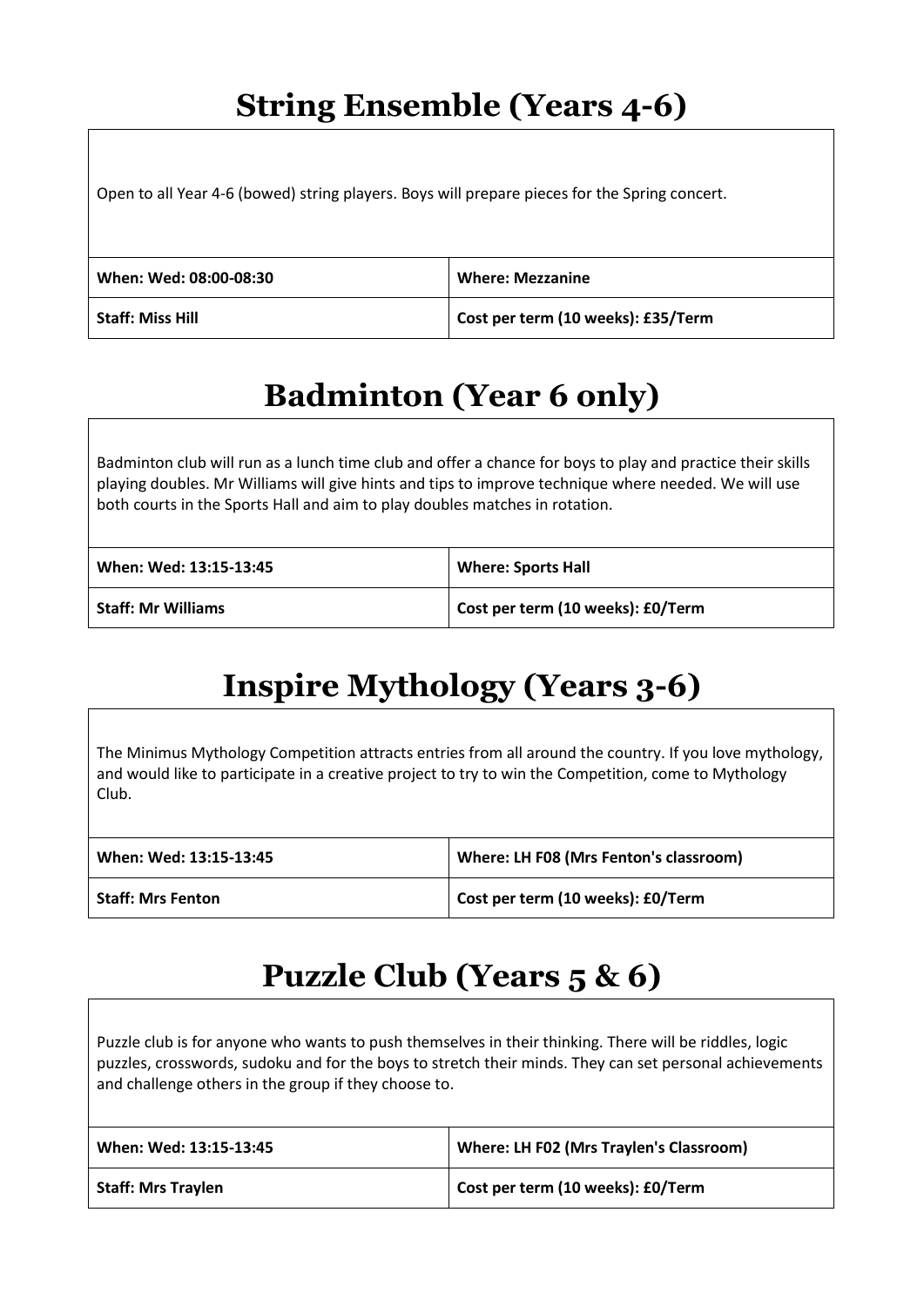#### **String Ensemble (Years 4-6)**

Open to all Year 4-6 (bowed) string players. Boys will prepare pieces for the Spring concert.

| When: Wed: 08:00-08:30  | <b>Where: Mezzanine</b>            |
|-------------------------|------------------------------------|
| <b>Staff: Miss Hill</b> | Cost per term (10 weeks): £35/Term |

## **Badminton (Year 6 only)**

Badminton club will run as a lunch time club and offer a chance for boys to play and practice their skills playing doubles. Mr Williams will give hints and tips to improve technique where needed. We will use both courts in the Sports Hall and aim to play doubles matches in rotation.

| When: Wed: 13:15-13:45 | <b>Where: Sports Hall</b>         |
|------------------------|-----------------------------------|
| Staff: Mr Williams     | Cost per term (10 weeks): £0/Term |

## **Inspire Mythology (Years 3-6)**

The Minimus Mythology Competition attracts entries from all around the country. If you love mythology, and would like to participate in a creative project to try to win the Competition, come to Mythology Club.

| When: Wed: 13:15-13:45   | Where: LH F08 (Mrs Fenton's classroom) |
|--------------------------|----------------------------------------|
| <b>Staff: Mrs Fenton</b> | Cost per term (10 weeks): £0/Term      |

## **Puzzle Club (Years 5 & 6)**

Puzzle club is for anyone who wants to push themselves in their thinking. There will be riddles, logic puzzles, crosswords, sudoku and for the boys to stretch their minds. They can set personal achievements and challenge others in the group if they choose to.

| When: Wed: 13:15-13:45    | Where: LH F02 (Mrs Traylen's Classroom) |
|---------------------------|-----------------------------------------|
| <b>Staff: Mrs Traylen</b> | Cost per term (10 weeks): £0/Term       |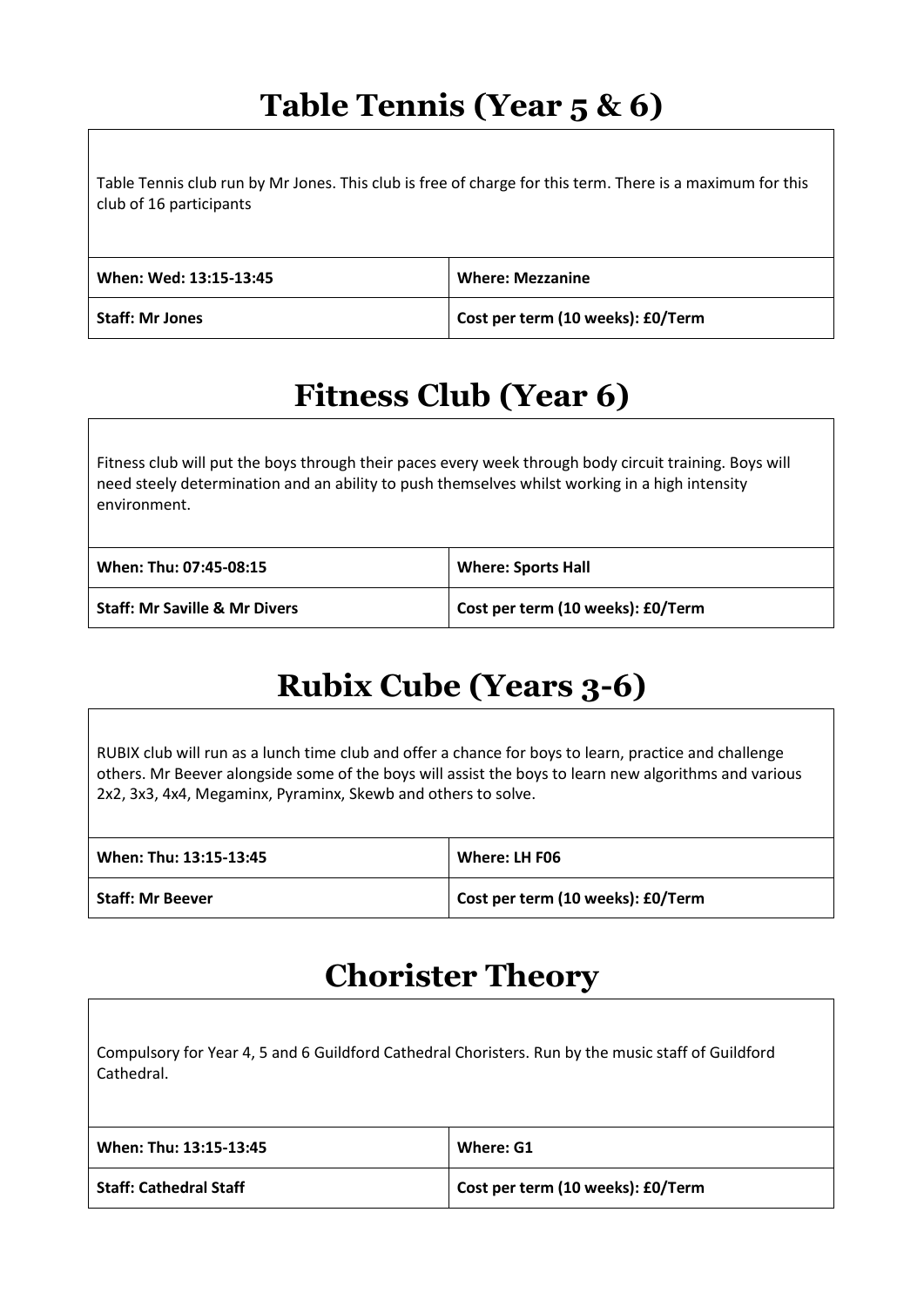#### **Table Tennis (Year 5 & 6)**

Table Tennis club run by Mr Jones. This club is free of charge for this term. There is a maximum for this club of 16 participants

| When: Wed: 13:15-13:45 | <b>Where: Mezzanine</b>           |
|------------------------|-----------------------------------|
| <b>Staff: Mr Jones</b> | Cost per term (10 weeks): £0/Term |

#### **Fitness Club (Year 6)**

Fitness club will put the boys through their paces every week through body circuit training. Boys will need steely determination and an ability to push themselves whilst working in a high intensity environment.

| When: Thu: 07:45-08:15                   | <b>Where: Sports Hall</b>         |
|------------------------------------------|-----------------------------------|
| <b>Staff: Mr Saville &amp; Mr Divers</b> | Cost per term (10 weeks): £0/Term |

## **Rubix Cube (Years 3-6)**

RUBIX club will run as a lunch time club and offer a chance for boys to learn, practice and challenge others. Mr Beever alongside some of the boys will assist the boys to learn new algorithms and various 2x2, 3x3, 4x4, Megaminx, Pyraminx, Skewb and others to solve.

| When: Thu: 13:15-13:45  | Where: LH F06                     |
|-------------------------|-----------------------------------|
| <b>Staff: Mr Beever</b> | Cost per term (10 weeks): £0/Term |

#### **Chorister Theory**

| Compulsory for Year 4, 5 and 6 Guildford Cathedral Choristers. Run by the music staff of Guildford<br>Cathedral. |                                   |
|------------------------------------------------------------------------------------------------------------------|-----------------------------------|
| When: Thu: 13:15-13:45                                                                                           | Where: G1                         |
| <b>Staff: Cathedral Staff</b>                                                                                    | Cost per term (10 weeks): £0/Term |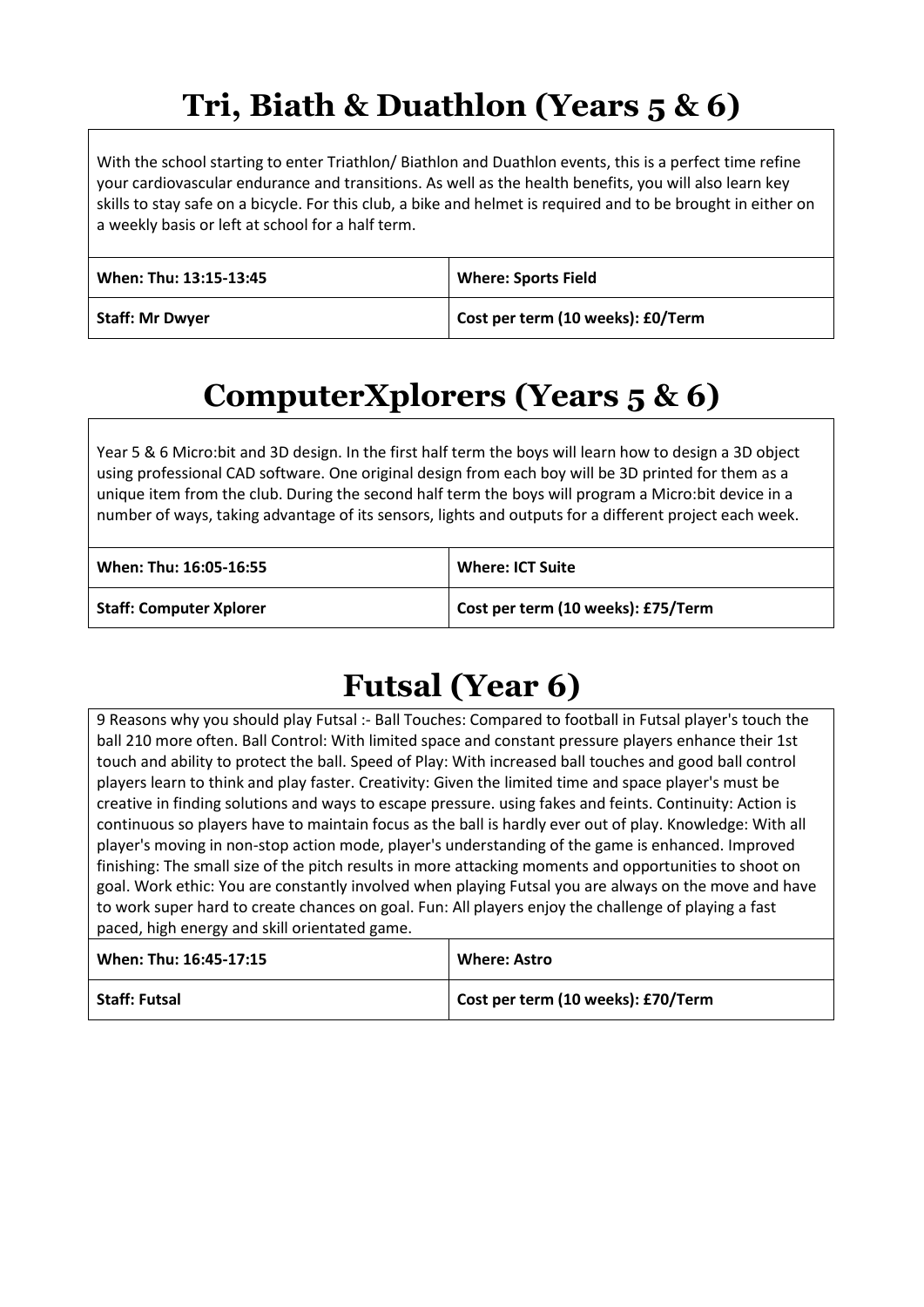## **Tri, Biath & Duathlon (Years 5 & 6)**

With the school starting to enter Triathlon/ Biathlon and Duathlon events, this is a perfect time refine your cardiovascular endurance and transitions. As well as the health benefits, you will also learn key skills to stay safe on a bicycle. For this club, a bike and helmet is required and to be brought in either on a weekly basis or left at school for a half term.

| When: Thu: 13:15-13:45 | <b>Where: Sports Field</b>        |
|------------------------|-----------------------------------|
| <b>Staff: Mr Dwyer</b> | Cost per term (10 weeks): £0/Term |

## **ComputerXplorers (Years 5 & 6)**

Year 5 & 6 Micro:bit and 3D design. In the first half term the boys will learn how to design a 3D object using professional CAD software. One original design from each boy will be 3D printed for them as a unique item from the club. During the second half term the boys will program a Micro:bit device in a number of ways, taking advantage of its sensors, lights and outputs for a different project each week.

| When: Thu: 16:05-16:55         | Where: ICT Suite                   |
|--------------------------------|------------------------------------|
| <b>Staff: Computer Xplorer</b> | Cost per term (10 weeks): £75/Term |

## **Futsal (Year 6)**

9 Reasons why you should play Futsal :- Ball Touches: Compared to football in Futsal player's touch the ball 210 more often. Ball Control: With limited space and constant pressure players enhance their 1st touch and ability to protect the ball. Speed of Play: With increased ball touches and good ball control players learn to think and play faster. Creativity: Given the limited time and space player's must be creative in finding solutions and ways to escape pressure. using fakes and feints. Continuity: Action is continuous so players have to maintain focus as the ball is hardly ever out of play. Knowledge: With all player's moving in non-stop action mode, player's understanding of the game is enhanced. Improved finishing: The small size of the pitch results in more attacking moments and opportunities to shoot on goal. Work ethic: You are constantly involved when playing Futsal you are always on the move and have to work super hard to create chances on goal. Fun: All players enjoy the challenge of playing a fast paced, high energy and skill orientated game.

| When: Thu: 16:45-17:15 | <b>Where: Astro</b>                |
|------------------------|------------------------------------|
| <b>Staff: Futsal</b>   | Cost per term (10 weeks): £70/Term |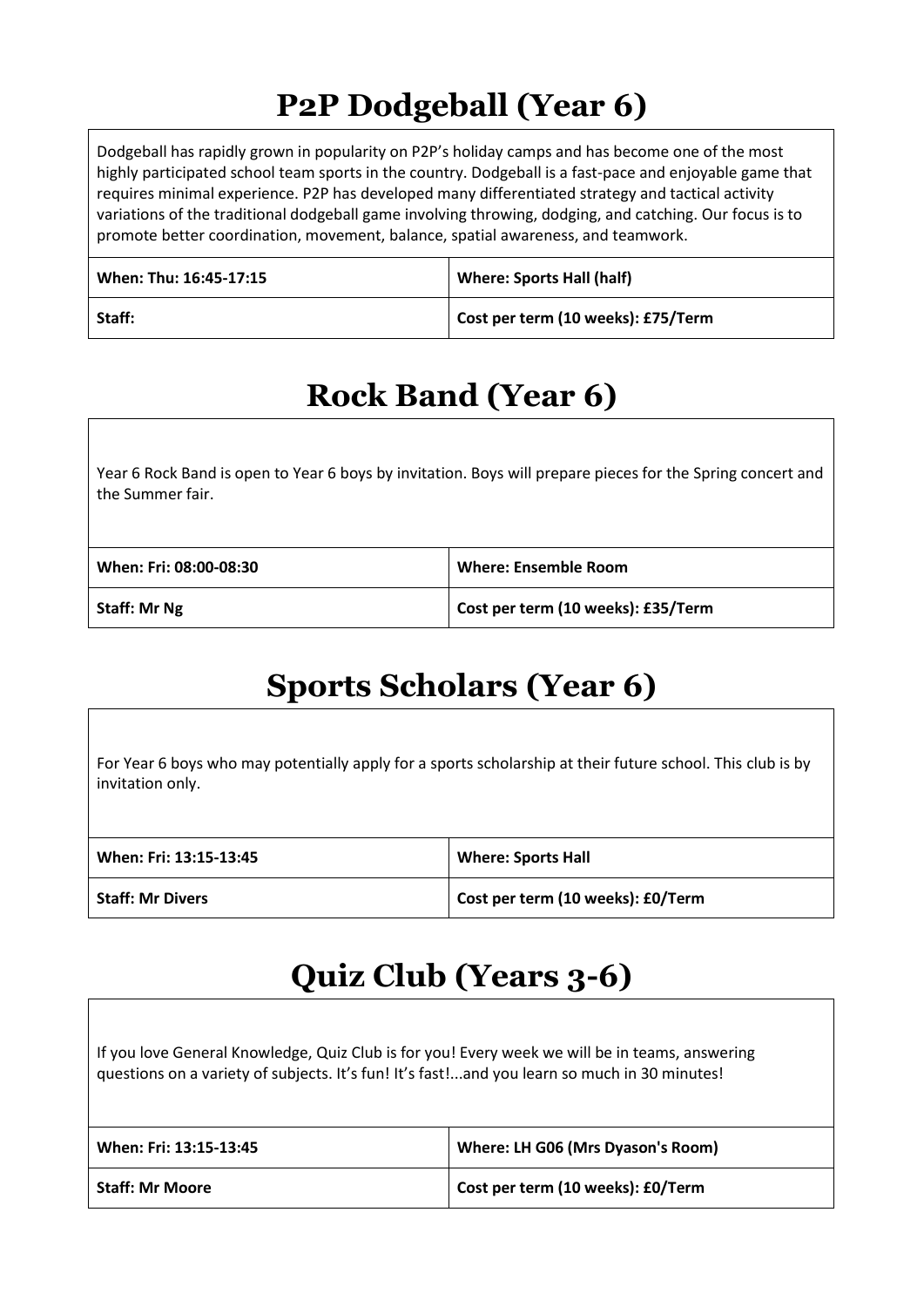## **P2P Dodgeball (Year 6)**

Dodgeball has rapidly grown in popularity on P2P's holiday camps and has become one of the most highly participated school team sports in the country. Dodgeball is a fast-pace and enjoyable game that requires minimal experience. P2P has developed many differentiated strategy and tactical activity variations of the traditional dodgeball game involving throwing, dodging, and catching. Our focus is to promote better coordination, movement, balance, spatial awareness, and teamwork.

| When: Thu: 16:45-17:15 | <b>Where: Sports Hall (half)</b>   |
|------------------------|------------------------------------|
| Staff:                 | Cost per term (10 weeks): £75/Term |

## **Rock Band (Year 6)**

Year 6 Rock Band is open to Year 6 boys by invitation. Boys will prepare pieces for the Spring concert and the Summer fair.

| When: Fri: 08:00-08:30 | Where: Ensemble Room               |
|------------------------|------------------------------------|
| <b>Staff: Mr Ng</b>    | Cost per term (10 weeks): £35/Term |

## **Sports Scholars (Year 6)**

For Year 6 boys who may potentially apply for a sports scholarship at their future school. This club is by invitation only.

| When: Fri: 13:15-13:45  | <b>Where: Sports Hall</b>         |
|-------------------------|-----------------------------------|
| <b>Staff: Mr Divers</b> | Cost per term (10 weeks): £0/Term |

## **Quiz Club (Years 3-6)**

If you love General Knowledge, Quiz Club is for you! Every week we will be in teams, answering questions on a variety of subjects. It's fun! It's fast!...and you learn so much in 30 minutes!

| When: Fri: 13:15-13:45 | Where: LH G06 (Mrs Dyason's Room) |
|------------------------|-----------------------------------|
| <b>Staff: Mr Moore</b> | Cost per term (10 weeks): £0/Term |